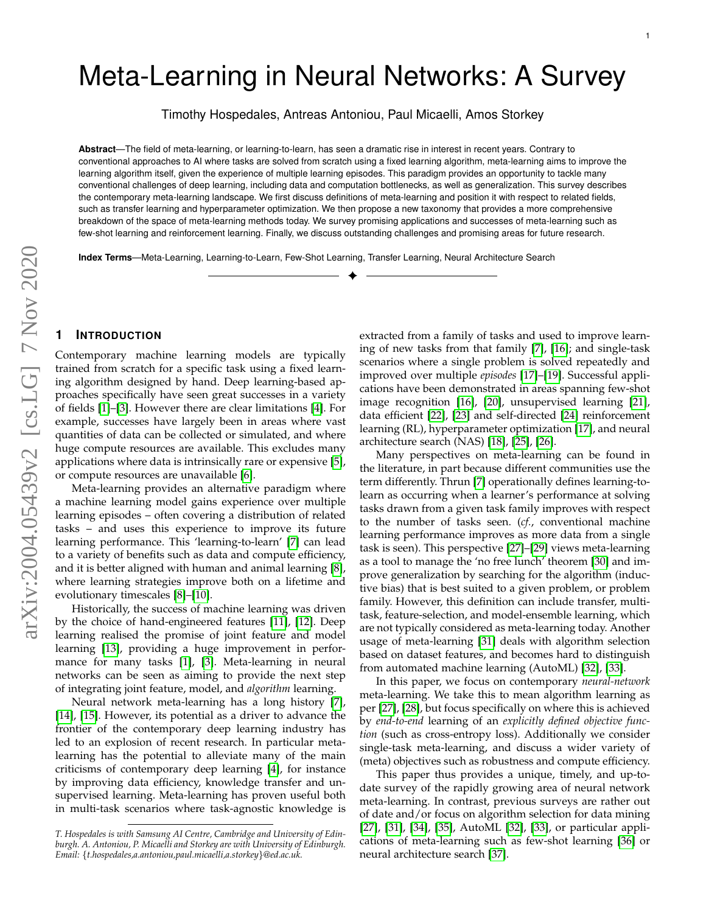# Meta-Learning in Neural Networks: A Survey

Timothy Hospedales, Antreas Antoniou, Paul Micaelli, Amos Storkey

**Abstract**—The field of meta-learning, or learning-to-learn, has seen a dramatic rise in interest in recent years. Contrary to conventional approaches to AI where tasks are solved from scratch using a fixed learning algorithm, meta-learning aims to improve the learning algorithm itself, given the experience of multiple learning episodes. This paradigm provides an opportunity to tackle many conventional challenges of deep learning, including data and computation bottlenecks, as well as generalization. This survey describes the contemporary meta-learning landscape. We first discuss definitions of meta-learning and position it with respect to related fields, such as transfer learning and hyperparameter optimization. We then propose a new taxonomy that provides a more comprehensive breakdown of the space of meta-learning methods today. We survey promising applications and successes of meta-learning such as few-shot learning and reinforcement learning. Finally, we discuss outstanding challenges and promising areas for future research.

✦

**Index Terms**—Meta-Learning, Learning-to-Learn, Few-Shot Learning, Transfer Learning, Neural Architecture Search

# **1 INTRODUCTION**

Contemporary machine learning models are typically trained from scratch for a specific task using a fixed learning algorithm designed by hand. Deep learning-based approaches specifically have seen great successes in a variety of fields [\[1\]](#page-14-0)–[\[3\]](#page-14-1). However there are clear limitations [\[4\]](#page-14-2). For example, successes have largely been in areas where vast quantities of data can be collected or simulated, and where huge compute resources are available. This excludes many applications where data is intrinsically rare or expensive [\[5\]](#page-14-3), or compute resources are unavailable [\[6\]](#page-14-4).

Meta-learning provides an alternative paradigm where a machine learning model gains experience over multiple learning episodes – often covering a distribution of related tasks – and uses this experience to improve its future learning performance. This 'learning-to-learn' [\[7\]](#page-14-5) can lead to a variety of benefits such as data and compute efficiency, and it is better aligned with human and animal learning [\[8\]](#page-14-6), where learning strategies improve both on a lifetime and evolutionary timescales [\[8\]](#page-14-6)–[\[10\]](#page-14-7).

Historically, the success of machine learning was driven by the choice of hand-engineered features [\[11\]](#page-14-8), [\[12\]](#page-14-9). Deep learning realised the promise of joint feature and model learning [\[13\]](#page-14-10), providing a huge improvement in performance for many tasks [\[1\]](#page-14-0), [\[3\]](#page-14-1). Meta-learning in neural networks can be seen as aiming to provide the next step of integrating joint feature, model, and *algorithm* learning.

Neural network meta-learning has a long history [\[7\]](#page-14-5), [\[14\]](#page-14-11), [\[15\]](#page-14-12). However, its potential as a driver to advance the frontier of the contemporary deep learning industry has led to an explosion of recent research. In particular metalearning has the potential to alleviate many of the main criticisms of contemporary deep learning [\[4\]](#page-14-2), for instance by improving data efficiency, knowledge transfer and unsupervised learning. Meta-learning has proven useful both in multi-task scenarios where task-agnostic knowledge is extracted from a family of tasks and used to improve learning of new tasks from that family [\[7\]](#page-14-5), [\[16\]](#page-14-13); and single-task scenarios where a single problem is solved repeatedly and improved over multiple *episodes* [\[17\]](#page-14-14)–[\[19\]](#page-15-0). Successful applications have been demonstrated in areas spanning few-shot image recognition [\[16\]](#page-14-13), [\[20\]](#page-15-1), unsupervised learning [\[21\]](#page-15-2), data efficient [\[22\]](#page-15-3), [\[23\]](#page-15-4) and self-directed [\[24\]](#page-15-5) reinforcement learning (RL), hyperparameter optimization [\[17\]](#page-14-14), and neural architecture search (NAS) [\[18\]](#page-15-6), [\[25\]](#page-15-7), [\[26\]](#page-15-8).

Many perspectives on meta-learning can be found in the literature, in part because different communities use the term differently. Thrun [\[7\]](#page-14-5) operationally defines learning-tolearn as occurring when a learner's performance at solving tasks drawn from a given task family improves with respect to the number of tasks seen. (*cf.*, conventional machine learning performance improves as more data from a single task is seen). This perspective [\[27\]](#page-15-9)–[\[29\]](#page-15-10) views meta-learning as a tool to manage the 'no free lunch' theorem [\[30\]](#page-15-11) and improve generalization by searching for the algorithm (inductive bias) that is best suited to a given problem, or problem family. However, this definition can include transfer, multitask, feature-selection, and model-ensemble learning, which are not typically considered as meta-learning today. Another usage of meta-learning [\[31\]](#page-15-12) deals with algorithm selection based on dataset features, and becomes hard to distinguish from automated machine learning (AutoML) [\[32\]](#page-15-13), [\[33\]](#page-15-14).

In this paper, we focus on contemporary *neural-network* meta-learning. We take this to mean algorithm learning as per [\[27\]](#page-15-9), [\[28\]](#page-15-15), but focus specifically on where this is achieved by *end-to-end* learning of an *explicitly defined objective function* (such as cross-entropy loss). Additionally we consider single-task meta-learning, and discuss a wider variety of (meta) objectives such as robustness and compute efficiency.

This paper thus provides a unique, timely, and up-todate survey of the rapidly growing area of neural network meta-learning. In contrast, previous surveys are rather out of date and/or focus on algorithm selection for data mining [\[27\]](#page-15-9), [\[31\]](#page-15-12), [\[34\]](#page-15-16), [\[35\]](#page-15-17), AutoML [\[32\]](#page-15-13), [\[33\]](#page-15-14), or particular applications of meta-learning such as few-shot learning [\[36\]](#page-15-18) or neural architecture search [\[37\]](#page-15-19).

*T. Hospedales is with Samsung AI Centre, Cambridge and University of Edinburgh. A. Antoniou, P. Micaelli and Storkey are with University of Edinburgh. Email:* {*t.hospedales,a.antoniou,paul.micaelli,a.storkey*}*@ed.ac.uk.*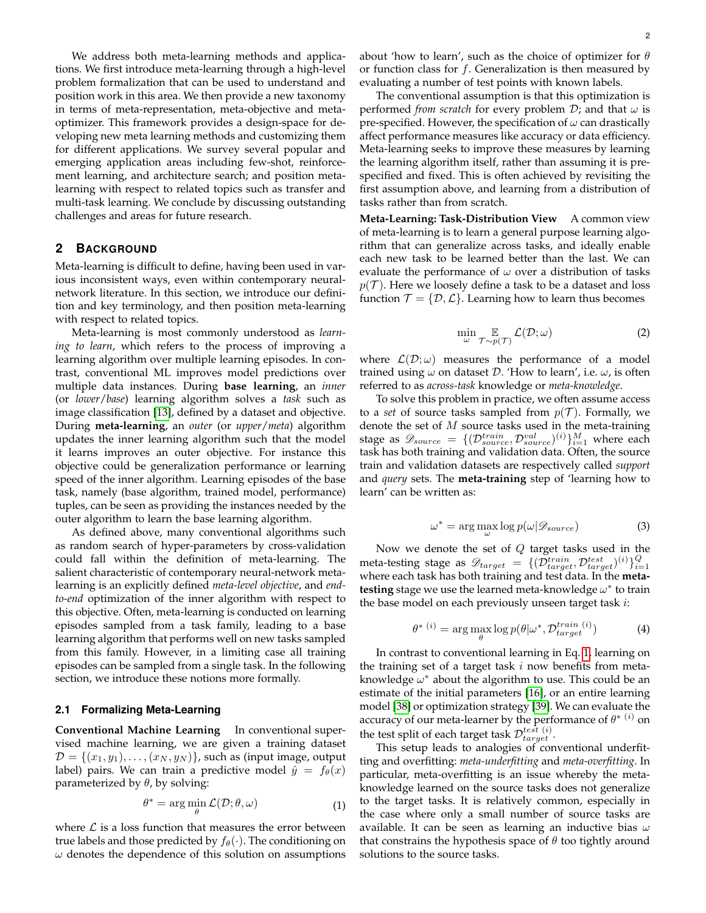We address both meta-learning methods and applications. We first introduce meta-learning through a high-level problem formalization that can be used to understand and position work in this area. We then provide a new taxonomy in terms of meta-representation, meta-objective and metaoptimizer. This framework provides a design-space for developing new meta learning methods and customizing them for different applications. We survey several popular and emerging application areas including few-shot, reinforcement learning, and architecture search; and position metalearning with respect to related topics such as transfer and multi-task learning. We conclude by discussing outstanding challenges and areas for future research.

#### **2 BACKGROUND**

Meta-learning is difficult to define, having been used in various inconsistent ways, even within contemporary neuralnetwork literature. In this section, we introduce our definition and key terminology, and then position meta-learning with respect to related topics.

Meta-learning is most commonly understood as *learning to learn*, which refers to the process of improving a learning algorithm over multiple learning episodes. In contrast, conventional ML improves model predictions over multiple data instances. During **base learning**, an *inner* (or *lower*/*base*) learning algorithm solves a *task* such as image classification [\[13\]](#page-14-10), defined by a dataset and objective. During **meta-learning**, an *outer* (or *upper*/*meta*) algorithm updates the inner learning algorithm such that the model it learns improves an outer objective. For instance this objective could be generalization performance or learning speed of the inner algorithm. Learning episodes of the base task, namely (base algorithm, trained model, performance) tuples, can be seen as providing the instances needed by the outer algorithm to learn the base learning algorithm.

As defined above, many conventional algorithms such as random search of hyper-parameters by cross-validation could fall within the definition of meta-learning. The salient characteristic of contemporary neural-network metalearning is an explicitly defined *meta-level objective*, and *endto-end* optimization of the inner algorithm with respect to this objective. Often, meta-learning is conducted on learning episodes sampled from a task family, leading to a base learning algorithm that performs well on new tasks sampled from this family. However, in a limiting case all training episodes can be sampled from a single task. In the following section, we introduce these notions more formally.

## <span id="page-1-4"></span>**2.1 Formalizing Meta-Learning**

**Conventional Machine Learning** In conventional supervised machine learning, we are given a training dataset  $\mathcal{D} = \{(x_1, y_1), \ldots, (x_N, y_N)\}\$ , such as (input image, output label) pairs. We can train a predictive model  $\hat{y} = f_{\theta}(x)$ parameterized by  $\theta$ , by solving:

$$
\theta^* = \arg\min_{\theta} \mathcal{L}(\mathcal{D}; \theta, \omega) \tag{1}
$$

where  $\mathcal L$  is a loss function that measures the error between true labels and those predicted by  $f_{\theta}(\cdot)$ . The conditioning on  $\omega$  denotes the dependence of this solution on assumptions

about 'how to learn', such as the choice of optimizer for  $\theta$ or function class for  $f$ . Generalization is then measured by evaluating a number of test points with known labels.

The conventional assumption is that this optimization is performed *from scratch* for every problem  $D$ ; and that  $\omega$  is pre-specified. However, the specification of  $\omega$  can drastically affect performance measures like accuracy or data efficiency. Meta-learning seeks to improve these measures by learning the learning algorithm itself, rather than assuming it is prespecified and fixed. This is often achieved by revisiting the first assumption above, and learning from a distribution of tasks rather than from scratch.

**Meta-Learning: Task-Distribution View** A common view of meta-learning is to learn a general purpose learning algorithm that can generalize across tasks, and ideally enable each new task to be learned better than the last. We can evaluate the performance of  $\omega$  over a distribution of tasks  $p(\mathcal{T})$ . Here we loosely define a task to be a dataset and loss function  $\mathcal{T} = \{\mathcal{D}, \mathcal{L}\}\$ . Learning how to learn thus becomes

<span id="page-1-2"></span>
$$
\min_{\omega} \mathop{\mathbb{E}}_{\mathcal{T} \sim p(\mathcal{T})} \mathcal{L}(\mathcal{D}; \omega) \tag{2}
$$

where  $\mathcal{L}(\mathcal{D}; \omega)$  measures the performance of a model trained using  $\omega$  on dataset  $\mathcal{D}$ . 'How to learn', i.e.  $\omega$ , is often referred to as *across-task* knowledge or *meta-knowledge*.

To solve this problem in practice, we often assume access to a *set* of source tasks sampled from  $p(\mathcal{T})$ . Formally, we denote the set of  $M$  source tasks used in the meta-training stage as  $\mathscr{D}_{source}~=~\{(\mathcal{D}_{source}^{train}, \mathcal{D}_{source}^{val})^{(i)}\}_{i=1}^{M}$  where each task has both training and validation data. Often, the source train and validation datasets are respectively called *support* and *query* sets. The **meta-training** step of 'learning how to learn' can be written as:

<span id="page-1-1"></span>
$$
\omega^* = \arg\max_{\omega} \log p(\omega | \mathcal{D}_{source}) \tag{3}
$$

Now we denote the set of  $Q$  target tasks used in the meta-testing stage as  $\mathscr{D}_{target}~=~\{(\mathcal{\bar{D}}_{target}^{train},\mathcal{\bar{D}}_{target}^{test})^{(i)}\}_{i=1}^{Q}$ where each task has both training and test data. In the **metatesting** stage we use the learned meta-knowledge  $\omega^*$  to train the base model on each previously unseen target task  $i$ :

<span id="page-1-3"></span>
$$
\theta^*(i) = \arg\max_{\theta} \log p(\theta | \omega^*, \mathcal{D}_{target}^{train}(i))
$$
 (4)

In contrast to conventional learning in Eq. [1,](#page-1-0) learning on the training set of a target task  $i$  now benefits from metaknowledge  $\omega^*$  about the algorithm to use. This could be an estimate of the initial parameters [\[16\]](#page-14-13), or an entire learning model [\[38\]](#page-15-20) or optimization strategy [\[39\]](#page-15-21). We can evaluate the accuracy of our meta-learner by the performance of  $\theta^{*}$  (*i*) on the test split of each target task  $\mathcal{D}_{target}^{test}(i)$ .

<span id="page-1-0"></span>This setup leads to analogies of conventional underfitting and overfitting: *meta-underfitting* and *meta-overfitting*. In particular, meta-overfitting is an issue whereby the metaknowledge learned on the source tasks does not generalize to the target tasks. It is relatively common, especially in the case where only a small number of source tasks are available. It can be seen as learning an inductive bias  $\omega$ that constrains the hypothesis space of  $\theta$  too tightly around solutions to the source tasks.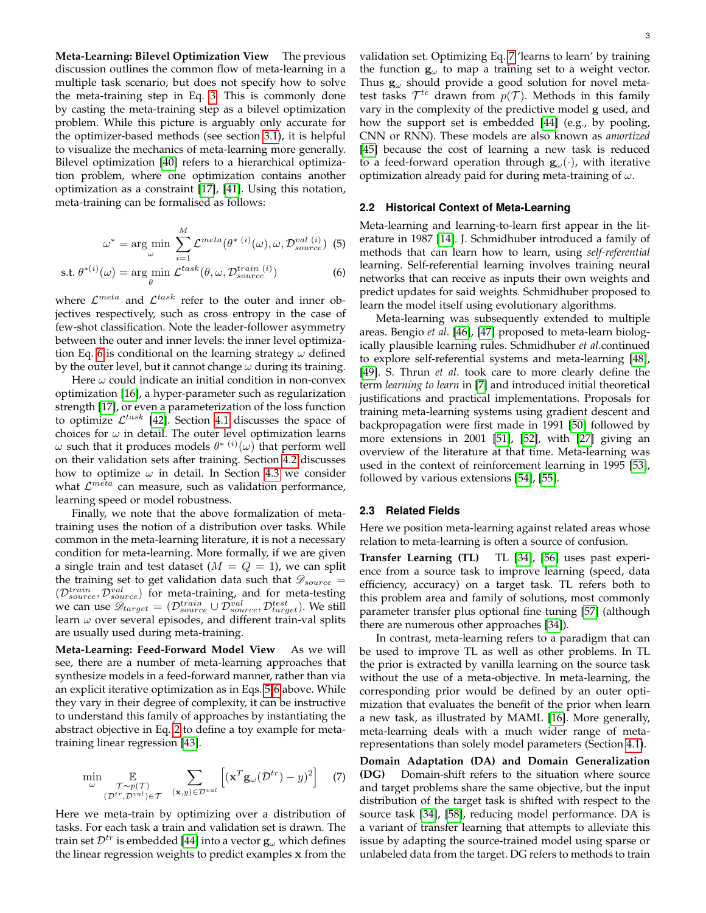**Meta-Learning: Bilevel Optimization View** The previous discussion outlines the common flow of meta-learning in a multiple task scenario, but does not specify how to solve the meta-training step in Eq. [3.](#page-1-1) This is commonly done by casting the meta-training step as a bilevel optimization problem. While this picture is arguably only accurate for the optimizer-based methods (see section [3.1\)](#page-3-0), it is helpful to visualize the mechanics of meta-learning more generally. Bilevel optimization [\[40\]](#page-15-22) refers to a hierarchical optimization problem, where one optimization contains another optimization as a constraint [\[17\]](#page-14-14), [\[41\]](#page-15-23). Using this notation, meta-training can be formalised as follows:

$$
\omega^* = \arg\min_{\omega} \sum_{i=1}^{M} \mathcal{L}^{meta}(\theta^{*(i)}(\omega), \omega, \mathcal{D}_{source}^{val}(i))
$$
(5)

$$
\text{s.t. } \theta^{*(i)}(\omega) = \arg\min_{\theta} \mathcal{L}^{task}(\theta, \omega, \mathcal{D}_{source}^{train}(i))
$$
 (6)

where  $\mathcal{L}^{meta}$  and  $\mathcal{L}^{task}$  refer to the outer and inner objectives respectively, such as cross entropy in the case of few-shot classification. Note the leader-follower asymmetry between the outer and inner levels: the inner level optimiza-tion Eq. [6](#page-2-0) is conditional on the learning strategy  $\omega$  defined by the outer level, but it cannot change  $\omega$  during its training.

Here  $\omega$  could indicate an initial condition in non-convex optimization [\[16\]](#page-14-13), a hyper-parameter such as regularization strength [\[17\]](#page-14-14), or even a parameterization of the loss function to optimize  $\mathcal{L}^{task}$  [\[42\]](#page-15-24). Section [4.1](#page-4-0) discusses the space of choices for  $\omega$  in detail. The outer level optimization learns  $ω$  such that it produces models  $θ^{*(i)}(ω)$  that perform well on their validation sets after training. Section [4.2](#page-7-0) discusses how to optimize  $\omega$  in detail. In Section [4.3](#page-7-1) we consider what  $\mathcal{L}^{meta}$  can measure, such as validation performance, learning speed or model robustness.

Finally, we note that the above formalization of metatraining uses the notion of a distribution over tasks. While common in the meta-learning literature, it is not a necessary condition for meta-learning. More formally, if we are given a single train and test dataset  $(M = Q = 1)$ , we can split the training set to get validation data such that  $\mathscr{D}_{source}$  =  $(\mathcal{D}_{source}^{train}, \mathcal{D}_{source}^{val})$  for meta-training, and for meta-testing we can use  $\mathscr{D}_{target} = (\mathcal{D}_{source}^{train} \cup \mathcal{D}_{source}^{val}, \mathcal{D}_{target}^{test})$ . We still learn  $\omega$  over several episodes, and different train-val splits are usually used during meta-training.

**Meta-Learning: Feed-Forward Model View** As we will see, there are a number of meta-learning approaches that synthesize models in a feed-forward manner, rather than via an explicit iterative optimization as in Eqs. [5-](#page-2-1)[6](#page-2-0) above. While they vary in their degree of complexity, it can be instructive to understand this family of approaches by instantiating the abstract objective in Eq. [2](#page-1-2) to define a toy example for metatraining linear regression [\[43\]](#page-15-25).

$$
\min_{\omega} \mathop{\mathbb{E}}_{(\mathcal{D}^{tr}, \mathcal{D}^{val}) \in \mathcal{T}} \sum_{(\mathbf{x}, y) \in \mathcal{D}^{val}} \left[ (\mathbf{x}^T \mathbf{g}_{\omega}(\mathcal{D}^{tr}) - y)^2 \right] \tag{7}
$$

Here we meta-train by optimizing over a distribution of tasks. For each task a train and validation set is drawn. The train set  $\mathcal{D}^{tr}$  is embedded [\[44\]](#page-15-26) into a vector  $\mathbf{g}_{\omega}$  which defines the linear regression weights to predict examples x from the validation set. Optimizing Eq. [7](#page-2-2) 'learns to learn' by training the function  $g_{\omega}$  to map a training set to a weight vector. Thus  $g_{\omega}$  should provide a good solution for novel metatest tasks  $\mathcal{T}^{te}$  drawn from  $p(\mathcal{T})$ . Methods in this family vary in the complexity of the predictive model g used, and how the support set is embedded [\[44\]](#page-15-26) (e.g., by pooling, CNN or RNN). These models are also known as *amortized* [\[45\]](#page-15-27) because the cost of learning a new task is reduced to a feed-forward operation through  $\mathbf{g}_{\omega}(\cdot)$ , with iterative optimization already paid for during meta-training of  $\omega$ .

#### **2.2 Historical Context of Meta-Learning**

<span id="page-2-1"></span><span id="page-2-0"></span>Meta-learning and learning-to-learn first appear in the literature in 1987 [\[14\]](#page-14-11). J. Schmidhuber introduced a family of methods that can learn how to learn, using *self-referential* learning. Self-referential learning involves training neural networks that can receive as inputs their own weights and predict updates for said weights. Schmidhuber proposed to learn the model itself using evolutionary algorithms.

Meta-learning was subsequently extended to multiple areas. Bengio *et al*. [\[46\]](#page-15-28), [\[47\]](#page-15-29) proposed to meta-learn biologically plausible learning rules. Schmidhuber *et al*.continued to explore self-referential systems and meta-learning [\[48\]](#page-15-30), [\[49\]](#page-15-31). S. Thrun *et al*. took care to more clearly define the term *learning to learn* in [\[7\]](#page-14-5) and introduced initial theoretical justifications and practical implementations. Proposals for training meta-learning systems using gradient descent and backpropagation were first made in 1991 [\[50\]](#page-15-32) followed by more extensions in 2001 [\[51\]](#page-15-33), [\[52\]](#page-15-34), with [\[27\]](#page-15-9) giving an overview of the literature at that time. Meta-learning was used in the context of reinforcement learning in 1995 [\[53\]](#page-15-35), followed by various extensions [\[54\]](#page-15-36), [\[55\]](#page-15-37).

#### **2.3 Related Fields**

Here we position meta-learning against related areas whose relation to meta-learning is often a source of confusion.

**Transfer Learning (TL)** TL [\[34\]](#page-15-16), [\[56\]](#page-15-38) uses past experience from a source task to improve learning (speed, data efficiency, accuracy) on a target task. TL refers both to this problem area and family of solutions, most commonly parameter transfer plus optional fine tuning [\[57\]](#page-15-39) (although there are numerous other approaches [\[34\]](#page-15-16)).

In contrast, meta-learning refers to a paradigm that can be used to improve TL as well as other problems. In TL the prior is extracted by vanilla learning on the source task without the use of a meta-objective. In meta-learning, the corresponding prior would be defined by an outer optimization that evaluates the benefit of the prior when learn a new task, as illustrated by MAML [\[16\]](#page-14-13). More generally, meta-learning deals with a much wider range of metarepresentations than solely model parameters (Section [4.1\)](#page-4-0).

<span id="page-2-2"></span>**Domain Adaptation (DA) and Domain Generalization (DG)** Domain-shift refers to the situation where source and target problems share the same objective, but the input distribution of the target task is shifted with respect to the source task [\[34\]](#page-15-16), [\[58\]](#page-15-40), reducing model performance. DA is a variant of transfer learning that attempts to alleviate this issue by adapting the source-trained model using sparse or unlabeled data from the target. DG refers to methods to train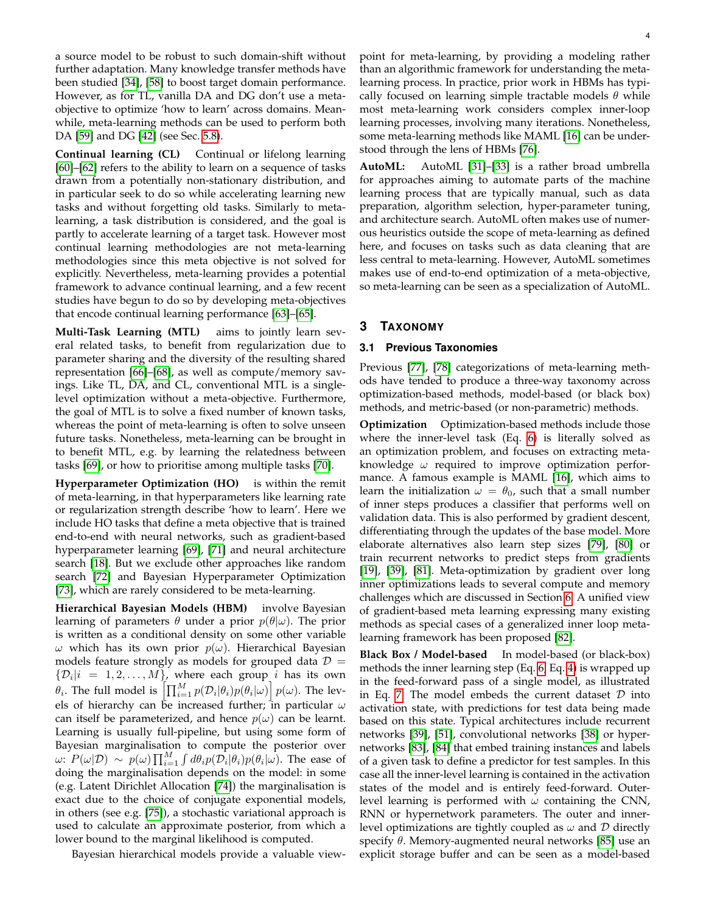a source model to be robust to such domain-shift without further adaptation. Many knowledge transfer methods have been studied [\[34\]](#page-15-16), [\[58\]](#page-15-40) to boost target domain performance. However, as for TL, vanilla DA and DG don't use a metaobjective to optimize 'how to learn' across domains. Meanwhile, meta-learning methods can be used to perform both DA [\[59\]](#page-15-41) and DG [\[42\]](#page-15-24) (see Sec. [5.8\)](#page-12-0).

**Continual learning (CL)** Continual or lifelong learning [\[60\]](#page-15-42)–[\[62\]](#page-15-43) refers to the ability to learn on a sequence of tasks drawn from a potentially non-stationary distribution, and in particular seek to do so while accelerating learning new tasks and without forgetting old tasks. Similarly to metalearning, a task distribution is considered, and the goal is partly to accelerate learning of a target task. However most continual learning methodologies are not meta-learning methodologies since this meta objective is not solved for explicitly. Nevertheless, meta-learning provides a potential framework to advance continual learning, and a few recent studies have begun to do so by developing meta-objectives that encode continual learning performance [\[63\]](#page-15-44)–[\[65\]](#page-15-45).

**Multi-Task Learning (MTL)** aims to jointly learn several related tasks, to benefit from regularization due to parameter sharing and the diversity of the resulting shared representation [\[66\]](#page-15-46)–[\[68\]](#page-15-47), as well as compute/memory savings. Like TL, DA, and CL, conventional MTL is a singlelevel optimization without a meta-objective. Furthermore, the goal of MTL is to solve a fixed number of known tasks, whereas the point of meta-learning is often to solve unseen future tasks. Nonetheless, meta-learning can be brought in to benefit MTL, e.g. by learning the relatedness between tasks [\[69\]](#page-15-48), or how to prioritise among multiple tasks [\[70\]](#page-15-49).

**Hyperparameter Optimization (HO)** is within the remit of meta-learning, in that hyperparameters like learning rate or regularization strength describe 'how to learn'. Here we include HO tasks that define a meta objective that is trained end-to-end with neural networks, such as gradient-based hyperparameter learning [\[69\]](#page-15-48), [\[71\]](#page-15-50) and neural architecture search [\[18\]](#page-15-6). But we exclude other approaches like random search [\[72\]](#page-15-51) and Bayesian Hyperparameter Optimization [\[73\]](#page-15-52), which are rarely considered to be meta-learning.

**Hierarchical Bayesian Models (HBM)** involve Bayesian learning of parameters  $\theta$  under a prior  $p(\theta|\omega)$ . The prior is written as a conditional density on some other variable ω which has its own prior  $p(ω)$ . Hierarchical Bayesian models feature strongly as models for grouped data  $\mathcal{D} =$  $\{\mathcal{D}_i | i = 1, 2, \dots, M\}$ , where each group *i* has its own  $\theta_i.$  The full model is  $\left[\prod_{i=1}^M p(\mathcal{D}_i|\theta_i)p(\theta_i|\omega)\right]p(\omega).$  The levels of hierarchy can be increased further; in particular  $\omega$ can itself be parameterized, and hence  $p(\omega)$  can be learnt. Learning is usually full-pipeline, but using some form of Bayesian marginalisation to compute the posterior over ω:  $P(\omega|\mathcal{D}) \sim p(\omega) \prod_{i=1}^{M} \int d\theta_i p(\mathcal{D}_i|\theta_i) p(\theta_i|\omega)$ . The ease of doing the marginalisation depends on the model: in some (e.g. Latent Dirichlet Allocation [\[74\]](#page-15-53)) the marginalisation is exact due to the choice of conjugate exponential models, in others (see e.g. [\[75\]](#page-15-54)), a stochastic variational approach is used to calculate an approximate posterior, from which a lower bound to the marginal likelihood is computed.

Bayesian hierarchical models provide a valuable view-

point for meta-learning, by providing a modeling rather than an algorithmic framework for understanding the metalearning process. In practice, prior work in HBMs has typically focused on learning simple tractable models  $\theta$  while most meta-learning work considers complex inner-loop learning processes, involving many iterations. Nonetheless, some meta-learning methods like MAML [\[16\]](#page-14-13) can be understood through the lens of HBMs [\[76\]](#page-15-55).

**AutoML:** AutoML [\[31\]](#page-15-12)–[\[33\]](#page-15-14) is a rather broad umbrella for approaches aiming to automate parts of the machine learning process that are typically manual, such as data preparation, algorithm selection, hyper-parameter tuning, and architecture search. AutoML often makes use of numerous heuristics outside the scope of meta-learning as defined here, and focuses on tasks such as data cleaning that are less central to meta-learning. However, AutoML sometimes makes use of end-to-end optimization of a meta-objective, so meta-learning can be seen as a specialization of AutoML.

# **3 TAXONOMY**

## <span id="page-3-0"></span>**3.1 Previous Taxonomies**

Previous [\[77\]](#page-15-56), [\[78\]](#page-15-57) categorizations of meta-learning methods have tended to produce a three-way taxonomy across optimization-based methods, model-based (or black box) methods, and metric-based (or non-parametric) methods.

**Optimization** Optimization-based methods include those where the inner-level task (Eq. [6\)](#page-2-0) is literally solved as an optimization problem, and focuses on extracting metaknowledge  $\omega$  required to improve optimization performance. A famous example is MAML [\[16\]](#page-14-13), which aims to learn the initialization  $\omega = \theta_0$ , such that a small number of inner steps produces a classifier that performs well on validation data. This is also performed by gradient descent, differentiating through the updates of the base model. More elaborate alternatives also learn step sizes [\[79\]](#page-15-58), [\[80\]](#page-15-59) or train recurrent networks to predict steps from gradients [\[19\]](#page-15-0), [\[39\]](#page-15-21), [\[81\]](#page-15-60). Meta-optimization by gradient over long inner optimizations leads to several compute and memory challenges which are discussed in Section [6.](#page-13-0) A unified view of gradient-based meta learning expressing many existing methods as special cases of a generalized inner loop metalearning framework has been proposed [\[82\]](#page-15-61).

**Black Box / Model-based** In model-based (or black-box) methods the inner learning step (Eq. [6,](#page-2-0) Eq. [4\)](#page-1-3) is wrapped up in the feed-forward pass of a single model, as illustrated in Eq. [7.](#page-2-2) The model embeds the current dataset  $D$  into activation state, with predictions for test data being made based on this state. Typical architectures include recurrent networks [\[39\]](#page-15-21), [\[51\]](#page-15-33), convolutional networks [\[38\]](#page-15-20) or hypernetworks [\[83\]](#page-15-62), [\[84\]](#page-16-0) that embed training instances and labels of a given task to define a predictor for test samples. In this case all the inner-level learning is contained in the activation states of the model and is entirely feed-forward. Outerlevel learning is performed with  $\omega$  containing the CNN, RNN or hypernetwork parameters. The outer and innerlevel optimizations are tightly coupled as  $\omega$  and  $\mathcal D$  directly specify  $\theta$ . Memory-augmented neural networks [\[85\]](#page-16-1) use an explicit storage buffer and can be seen as a model-based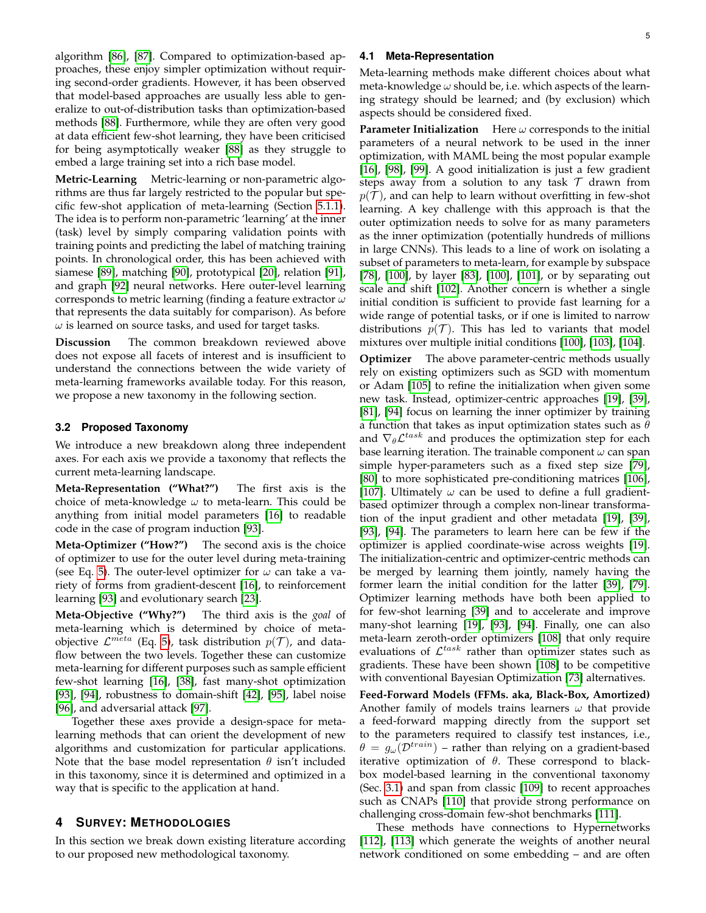algorithm [\[86\]](#page-16-2), [\[87\]](#page-16-3). Compared to optimization-based approaches, these enjoy simpler optimization without requiring second-order gradients. However, it has been observed that model-based approaches are usually less able to generalize to out-of-distribution tasks than optimization-based methods [\[88\]](#page-16-4). Furthermore, while they are often very good at data efficient few-shot learning, they have been criticised for being asymptotically weaker [\[88\]](#page-16-4) as they struggle to embed a large training set into a rich base model.

**Metric-Learning** Metric-learning or non-parametric algorithms are thus far largely restricted to the popular but specific few-shot application of meta-learning (Section [5.1.1\)](#page-8-0). The idea is to perform non-parametric 'learning' at the inner (task) level by simply comparing validation points with training points and predicting the label of matching training points. In chronological order, this has been achieved with siamese [\[89\]](#page-16-5), matching [\[90\]](#page-16-6), prototypical [\[20\]](#page-15-1), relation [\[91\]](#page-16-7), and graph [\[92\]](#page-16-8) neural networks. Here outer-level learning corresponds to metric learning (finding a feature extractor  $\omega$ that represents the data suitably for comparison). As before  $\omega$  is learned on source tasks, and used for target tasks.

**Discussion** The common breakdown reviewed above does not expose all facets of interest and is insufficient to understand the connections between the wide variety of meta-learning frameworks available today. For this reason, we propose a new taxonomy in the following section.

#### **3.2 Proposed Taxonomy**

We introduce a new breakdown along three independent axes. For each axis we provide a taxonomy that reflects the current meta-learning landscape.

**Meta-Representation ("What?")** The first axis is the choice of meta-knowledge  $\omega$  to meta-learn. This could be anything from initial model parameters [\[16\]](#page-14-13) to readable code in the case of program induction [\[93\]](#page-16-9).

**Meta-Optimizer ("How?")** The second axis is the choice of optimizer to use for the outer level during meta-training (see Eq. [5\)](#page-2-1). The outer-level optimizer for  $\omega$  can take a variety of forms from gradient-descent [\[16\]](#page-14-13), to reinforcement learning [\[93\]](#page-16-9) and evolutionary search [\[23\]](#page-15-4).

**Meta-Objective ("Why?")** The third axis is the *goal* of meta-learning which is determined by choice of metaobjective  $\mathcal{L}^{meta}$  (Eq. [5\)](#page-2-1), task distribution  $p(\mathcal{T})$ , and dataflow between the two levels. Together these can customize meta-learning for different purposes such as sample efficient few-shot learning [\[16\]](#page-14-13), [\[38\]](#page-15-20), fast many-shot optimization [\[93\]](#page-16-9), [\[94\]](#page-16-10), robustness to domain-shift [\[42\]](#page-15-24), [\[95\]](#page-16-11), label noise [\[96\]](#page-16-12), and adversarial attack [\[97\]](#page-16-13).

Together these axes provide a design-space for metalearning methods that can orient the development of new algorithms and customization for particular applications. Note that the base model representation  $\theta$  isn't included in this taxonomy, since it is determined and optimized in a way that is specific to the application at hand.

## **4 SURVEY: METHODOLOGIES**

In this section we break down existing literature according to our proposed new methodological taxonomy.

#### <span id="page-4-0"></span>**4.1 Meta-Representation**

Meta-learning methods make different choices about what meta-knowledge  $\omega$  should be, i.e. which aspects of the learning strategy should be learned; and (by exclusion) which aspects should be considered fixed.

**Parameter Initialization** Here  $\omega$  corresponds to the initial parameters of a neural network to be used in the inner optimization, with MAML being the most popular example [\[16\]](#page-14-13), [\[98\]](#page-16-14), [\[99\]](#page-16-15). A good initialization is just a few gradient steps away from a solution to any task  $\mathcal T$  drawn from  $p(\mathcal{T})$ , and can help to learn without overfitting in few-shot learning. A key challenge with this approach is that the outer optimization needs to solve for as many parameters as the inner optimization (potentially hundreds of millions in large CNNs). This leads to a line of work on isolating a subset of parameters to meta-learn, for example by subspace [\[78\]](#page-15-57), [\[100\]](#page-16-16), by layer [\[83\]](#page-15-62), [\[100\]](#page-16-16), [\[101\]](#page-16-17), or by separating out scale and shift [\[102\]](#page-16-18). Another concern is whether a single initial condition is sufficient to provide fast learning for a wide range of potential tasks, or if one is limited to narrow distributions  $p(\mathcal{T})$ . This has led to variants that model mixtures over multiple initial conditions [\[100\]](#page-16-16), [\[103\]](#page-16-19), [\[104\]](#page-16-20).

**Optimizer** The above parameter-centric methods usually rely on existing optimizers such as SGD with momentum or Adam [\[105\]](#page-16-21) to refine the initialization when given some new task. Instead, optimizer-centric approaches [\[19\]](#page-15-0), [\[39\]](#page-15-21), [\[81\]](#page-15-60), [\[94\]](#page-16-10) focus on learning the inner optimizer by training a function that takes as input optimization states such as  $\theta$ and  $\nabla_{\theta} \mathcal{L}^{task}$  and produces the optimization step for each base learning iteration. The trainable component  $\omega$  can span simple hyper-parameters such as a fixed step size [\[79\]](#page-15-58), [\[80\]](#page-15-59) to more sophisticated pre-conditioning matrices [\[106\]](#page-16-22), [\[107\]](#page-16-23). Ultimately  $\omega$  can be used to define a full gradientbased optimizer through a complex non-linear transformation of the input gradient and other metadata [\[19\]](#page-15-0), [\[39\]](#page-15-21), [\[93\]](#page-16-9), [\[94\]](#page-16-10). The parameters to learn here can be few if the optimizer is applied coordinate-wise across weights [\[19\]](#page-15-0). The initialization-centric and optimizer-centric methods can be merged by learning them jointly, namely having the former learn the initial condition for the latter [\[39\]](#page-15-21), [\[79\]](#page-15-58). Optimizer learning methods have both been applied to for few-shot learning [\[39\]](#page-15-21) and to accelerate and improve many-shot learning [\[19\]](#page-15-0), [\[93\]](#page-16-9), [\[94\]](#page-16-10). Finally, one can also meta-learn zeroth-order optimizers [\[108\]](#page-16-24) that only require evaluations of  $\mathcal{L}^{task}$  rather than optimizer states such as gradients. These have been shown [\[108\]](#page-16-24) to be competitive with conventional Bayesian Optimization [\[73\]](#page-15-52) alternatives.

**Feed-Forward Models (FFMs. aka, Black-Box, Amortized)** Another family of models trains learners  $\omega$  that provide a feed-forward mapping directly from the support set to the parameters required to classify test instances, i.e.,  $\theta = g_{\omega}(\mathcal{D}^{train})$  – rather than relying on a gradient-based iterative optimization of  $\theta$ . These correspond to blackbox model-based learning in the conventional taxonomy (Sec. [3.1\)](#page-3-0) and span from classic [\[109\]](#page-16-25) to recent approaches such as CNAPs [\[110\]](#page-16-26) that provide strong performance on challenging cross-domain few-shot benchmarks [\[111\]](#page-16-27).

These methods have connections to Hypernetworks [\[112\]](#page-16-28), [\[113\]](#page-16-29) which generate the weights of another neural network conditioned on some embedding – and are often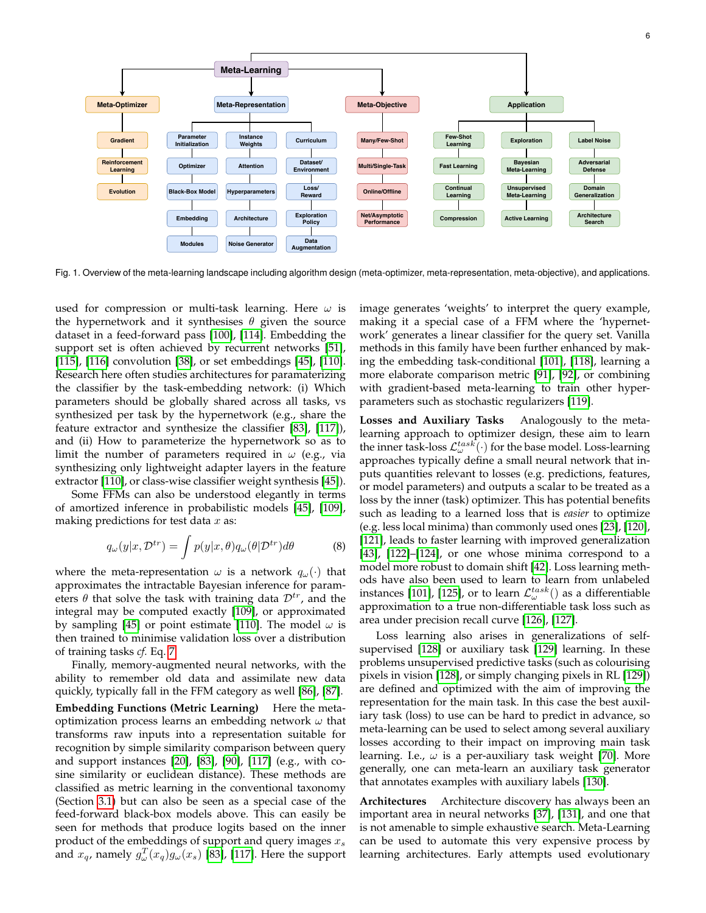

Fig. 1. Overview of the meta-learning landscape including algorithm design (meta-optimizer, meta-representation, meta-objective), and applications.

used for compression or multi-task learning. Here  $\omega$  is the hypernetwork and it synthesises  $\theta$  given the source dataset in a feed-forward pass [\[100\]](#page-16-16), [\[114\]](#page-16-30). Embedding the support set is often achieved by recurrent networks [\[51\]](#page-15-33), [\[115\]](#page-16-31), [\[116\]](#page-16-32) convolution [\[38\]](#page-15-20), or set embeddings [\[45\]](#page-15-27), [\[110\]](#page-16-26). Research here often studies architectures for paramaterizing the classifier by the task-embedding network: (i) Which parameters should be globally shared across all tasks, vs synthesized per task by the hypernetwork (e.g., share the feature extractor and synthesize the classifier [\[83\]](#page-15-62), [\[117\]](#page-16-33)), and (ii) How to parameterize the hypernetwork so as to limit the number of parameters required in  $\omega$  (e.g., via synthesizing only lightweight adapter layers in the feature extractor [\[110\]](#page-16-26), or class-wise classifier weight synthesis [\[45\]](#page-15-27)).

Some FFMs can also be understood elegantly in terms of amortized inference in probabilistic models [\[45\]](#page-15-27), [\[109\]](#page-16-25), making predictions for test data  $x$  as:

$$
q_{\omega}(y|x, \mathcal{D}^{tr}) = \int p(y|x, \theta) q_{\omega}(\theta | \mathcal{D}^{tr}) d\theta \tag{8}
$$

where the meta-representation  $\omega$  is a network  $q_{\omega}(\cdot)$  that approximates the intractable Bayesian inference for parameters  $\theta$  that solve the task with training data  $\mathcal{D}^{tr}$ , and the integral may be computed exactly [\[109\]](#page-16-25), or approximated by sampling [\[45\]](#page-15-27) or point estimate [\[110\]](#page-16-26). The model  $\omega$  is then trained to minimise validation loss over a distribution of training tasks *cf.* Eq. [7.](#page-2-2)

Finally, memory-augmented neural networks, with the ability to remember old data and assimilate new data quickly, typically fall in the FFM category as well [\[86\]](#page-16-2), [\[87\]](#page-16-3). **Embedding Functions (Metric Learning)** Here the metaoptimization process learns an embedding network  $\omega$  that transforms raw inputs into a representation suitable for recognition by simple similarity comparison between query and support instances [\[20\]](#page-15-1), [\[83\]](#page-15-62), [\[90\]](#page-16-6), [\[117\]](#page-16-33) (e.g., with cosine similarity or euclidean distance). These methods are classified as metric learning in the conventional taxonomy (Section [3.1\)](#page-3-0) but can also be seen as a special case of the feed-forward black-box models above. This can easily be seen for methods that produce logits based on the inner product of the embeddings of support and query images  $x_s$ and  $x_q$ , namely  $g_{\omega}^T(x_q)g_{\omega}(x_s)$  [\[83\]](#page-15-62), [\[117\]](#page-16-33). Here the support

image generates 'weights' to interpret the query example, making it a special case of a FFM where the 'hypernetwork' generates a linear classifier for the query set. Vanilla methods in this family have been further enhanced by making the embedding task-conditional [\[101\]](#page-16-17), [\[118\]](#page-16-34), learning a more elaborate comparison metric [\[91\]](#page-16-7), [\[92\]](#page-16-8), or combining with gradient-based meta-learning to train other hyperparameters such as stochastic regularizers [\[119\]](#page-16-35).

**Losses and Auxiliary Tasks** Analogously to the metalearning approach to optimizer design, these aim to learn the inner task-loss  $\mathcal{L}^{task}_{\omega}(\cdot)$  for the base model. Loss-learning approaches typically define a small neural network that inputs quantities relevant to losses (e.g. predictions, features, or model parameters) and outputs a scalar to be treated as a loss by the inner (task) optimizer. This has potential benefits such as leading to a learned loss that is *easier* to optimize (e.g. less local minima) than commonly used ones [\[23\]](#page-15-4), [\[120\]](#page-16-36), [\[121\]](#page-16-37), leads to faster learning with improved generalization [\[43\]](#page-15-25), [\[122\]](#page-16-38)–[\[124\]](#page-16-39), or one whose minima correspond to a model more robust to domain shift [\[42\]](#page-15-24). Loss learning methods have also been used to learn to learn from unlabeled instances [\[101\]](#page-16-17), [\[125\]](#page-16-40), or to learn  $\mathcal{L}^{task}_{\omega}()$  as a differentiable approximation to a true non-differentiable task loss such as area under precision recall curve [\[126\]](#page-16-41), [\[127\]](#page-16-42).

Loss learning also arises in generalizations of selfsupervised [\[128\]](#page-16-43) or auxiliary task [\[129\]](#page-16-44) learning. In these problems unsupervised predictive tasks (such as colourising pixels in vision [\[128\]](#page-16-43), or simply changing pixels in RL [\[129\]](#page-16-44)) are defined and optimized with the aim of improving the representation for the main task. In this case the best auxiliary task (loss) to use can be hard to predict in advance, so meta-learning can be used to select among several auxiliary losses according to their impact on improving main task learning. I.e.,  $\omega$  is a per-auxiliary task weight [\[70\]](#page-15-49). More generally, one can meta-learn an auxiliary task generator that annotates examples with auxiliary labels [\[130\]](#page-16-45).

**Architectures** Architecture discovery has always been an important area in neural networks [\[37\]](#page-15-19), [\[131\]](#page-16-46), and one that is not amenable to simple exhaustive search. Meta-Learning can be used to automate this very expensive process by learning architectures. Early attempts used evolutionary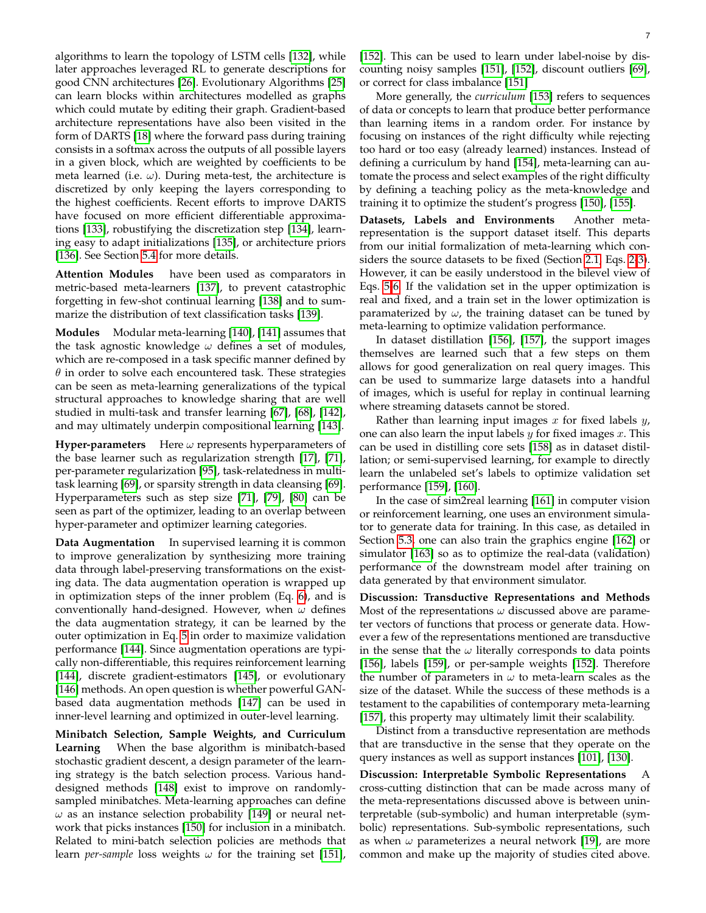algorithms to learn the topology of LSTM cells [\[132\]](#page-16-47), while later approaches leveraged RL to generate descriptions for good CNN architectures [\[26\]](#page-15-8). Evolutionary Algorithms [\[25\]](#page-15-7) can learn blocks within architectures modelled as graphs which could mutate by editing their graph. Gradient-based architecture representations have also been visited in the form of DARTS [\[18\]](#page-15-6) where the forward pass during training consists in a softmax across the outputs of all possible layers in a given block, which are weighted by coefficients to be meta learned (i.e.  $\omega$ ). During meta-test, the architecture is discretized by only keeping the layers corresponding to the highest coefficients. Recent efforts to improve DARTS have focused on more efficient differentiable approximations [\[133\]](#page-16-48), robustifying the discretization step [\[134\]](#page-16-49), learning easy to adapt initializations [\[135\]](#page-16-50), or architecture priors [\[136\]](#page-16-51). See Section [5.4](#page-11-0) for more details.

**Attention Modules** have been used as comparators in metric-based meta-learners [\[137\]](#page-16-52), to prevent catastrophic forgetting in few-shot continual learning [\[138\]](#page-16-53) and to summarize the distribution of text classification tasks [\[139\]](#page-16-54).

**Modules** Modular meta-learning [\[140\]](#page-16-55), [\[141\]](#page-16-56) assumes that the task agnostic knowledge  $\omega$  defines a set of modules, which are re-composed in a task specific manner defined by  $\theta$  in order to solve each encountered task. These strategies can be seen as meta-learning generalizations of the typical structural approaches to knowledge sharing that are well studied in multi-task and transfer learning [\[67\]](#page-15-63), [\[68\]](#page-15-47), [\[142\]](#page-16-57), and may ultimately underpin compositional learning [\[143\]](#page-16-58).

**Hyper-parameters** Here  $\omega$  represents hyperparameters of the base learner such as regularization strength [\[17\]](#page-14-14), [\[71\]](#page-15-50), per-parameter regularization [\[95\]](#page-16-11), task-relatedness in multitask learning [\[69\]](#page-15-48), or sparsity strength in data cleansing [\[69\]](#page-15-48). Hyperparameters such as step size [\[71\]](#page-15-50), [\[79\]](#page-15-58), [\[80\]](#page-15-59) can be seen as part of the optimizer, leading to an overlap between hyper-parameter and optimizer learning categories.

**Data Augmentation** In supervised learning it is common to improve generalization by synthesizing more training data through label-preserving transformations on the existing data. The data augmentation operation is wrapped up in optimization steps of the inner problem (Eq. [6\)](#page-2-0), and is conventionally hand-designed. However, when  $\omega$  defines the data augmentation strategy, it can be learned by the outer optimization in Eq. [5](#page-2-1) in order to maximize validation performance [\[144\]](#page-16-59). Since augmentation operations are typically non-differentiable, this requires reinforcement learning [\[144\]](#page-16-59), discrete gradient-estimators [\[145\]](#page-17-0), or evolutionary [\[146\]](#page-17-1) methods. An open question is whether powerful GANbased data augmentation methods [\[147\]](#page-17-2) can be used in inner-level learning and optimized in outer-level learning.

**Minibatch Selection, Sample Weights, and Curriculum Learning** When the base algorithm is minibatch-based stochastic gradient descent, a design parameter of the learning strategy is the batch selection process. Various handdesigned methods [\[148\]](#page-17-3) exist to improve on randomlysampled minibatches. Meta-learning approaches can define  $\omega$  as an instance selection probability [\[149\]](#page-17-4) or neural network that picks instances [\[150\]](#page-17-5) for inclusion in a minibatch. Related to mini-batch selection policies are methods that learn *per-sample* loss weights  $\omega$  for the training set [\[151\]](#page-17-6),

[\[152\]](#page-17-7). This can be used to learn under label-noise by discounting noisy samples [\[151\]](#page-17-6), [\[152\]](#page-17-7), discount outliers [\[69\]](#page-15-48), or correct for class imbalance [\[151\]](#page-17-6)

More generally, the *curriculum* [\[153\]](#page-17-8) refers to sequences of data or concepts to learn that produce better performance than learning items in a random order. For instance by focusing on instances of the right difficulty while rejecting too hard or too easy (already learned) instances. Instead of defining a curriculum by hand [\[154\]](#page-17-9), meta-learning can automate the process and select examples of the right difficulty by defining a teaching policy as the meta-knowledge and training it to optimize the student's progress [\[150\]](#page-17-5), [\[155\]](#page-17-10).

**Datasets, Labels and Environments** Another metarepresentation is the support dataset itself. This departs from our initial formalization of meta-learning which considers the source datasets to be fixed (Section [2.1,](#page-1-4) Eqs. [2-](#page-1-2)[3\)](#page-1-1). However, it can be easily understood in the bilevel view of Eqs. [5](#page-2-1)[-6.](#page-2-0) If the validation set in the upper optimization is real and fixed, and a train set in the lower optimization is paramaterized by  $\omega$ , the training dataset can be tuned by meta-learning to optimize validation performance.

In dataset distillation [\[156\]](#page-17-11), [\[157\]](#page-17-12), the support images themselves are learned such that a few steps on them allows for good generalization on real query images. This can be used to summarize large datasets into a handful of images, which is useful for replay in continual learning where streaming datasets cannot be stored.

Rather than learning input images  $x$  for fixed labels  $y$ , one can also learn the input labels  $y$  for fixed images  $x$ . This can be used in distilling core sets [\[158\]](#page-17-13) as in dataset distillation; or semi-supervised learning, for example to directly learn the unlabeled set's labels to optimize validation set performance [\[159\]](#page-17-14), [\[160\]](#page-17-15).

In the case of sim2real learning [\[161\]](#page-17-16) in computer vision or reinforcement learning, one uses an environment simulator to generate data for training. In this case, as detailed in Section [5.3,](#page-10-0) one can also train the graphics engine [\[162\]](#page-17-17) or simulator [\[163\]](#page-17-18) so as to optimize the real-data (validation) performance of the downstream model after training on data generated by that environment simulator.

**Discussion: Transductive Representations and Methods** Most of the representations  $\omega$  discussed above are parameter vectors of functions that process or generate data. However a few of the representations mentioned are transductive in the sense that the  $\omega$  literally corresponds to data points [\[156\]](#page-17-11), labels [\[159\]](#page-17-14), or per-sample weights [\[152\]](#page-17-7). Therefore the number of parameters in  $\omega$  to meta-learn scales as the size of the dataset. While the success of these methods is a testament to the capabilities of contemporary meta-learning [\[157\]](#page-17-12), this property may ultimately limit their scalability.

Distinct from a transductive representation are methods that are transductive in the sense that they operate on the query instances as well as support instances [\[101\]](#page-16-17), [\[130\]](#page-16-45).

**Discussion: Interpretable Symbolic Representations** A cross-cutting distinction that can be made across many of the meta-representations discussed above is between uninterpretable (sub-symbolic) and human interpretable (symbolic) representations. Sub-symbolic representations, such as when  $\omega$  parameterizes a neural network [\[19\]](#page-15-0), are more common and make up the majority of studies cited above.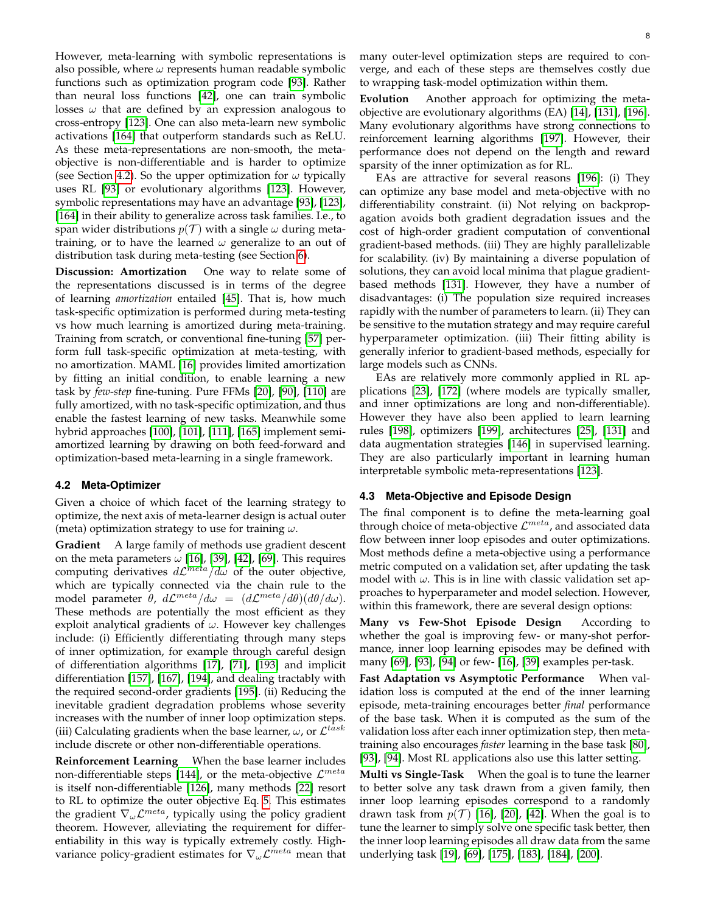However, meta-learning with symbolic representations is also possible, where  $\omega$  represents human readable symbolic functions such as optimization program code [\[93\]](#page-16-9). Rather than neural loss functions [\[42\]](#page-15-24), one can train symbolic losses  $\omega$  that are defined by an expression analogous to cross-entropy [\[123\]](#page-16-60). One can also meta-learn new symbolic activations [\[164\]](#page-17-19) that outperform standards such as ReLU. As these meta-representations are non-smooth, the metaobjective is non-differentiable and is harder to optimize (see Section [4.2\)](#page-7-0). So the upper optimization for  $\omega$  typically uses RL [\[93\]](#page-16-9) or evolutionary algorithms [\[123\]](#page-16-60). However, symbolic representations may have an advantage [\[93\]](#page-16-9), [\[123\]](#page-16-60), [\[164\]](#page-17-19) in their ability to generalize across task families. I.e., to span wider distributions  $p(\mathcal{T})$  with a single  $\omega$  during metatraining, or to have the learned  $\omega$  generalize to an out of distribution task during meta-testing (see Section [6\)](#page-13-0).

**Discussion: Amortization** One way to relate some of the representations discussed is in terms of the degree of learning *amortization* entailed [\[45\]](#page-15-27). That is, how much task-specific optimization is performed during meta-testing vs how much learning is amortized during meta-training. Training from scratch, or conventional fine-tuning [\[57\]](#page-15-39) perform full task-specific optimization at meta-testing, with no amortization. MAML [\[16\]](#page-14-13) provides limited amortization by fitting an initial condition, to enable learning a new task by *few-step* fine-tuning. Pure FFMs [\[20\]](#page-15-1), [\[90\]](#page-16-6), [\[110\]](#page-16-26) are fully amortized, with no task-specific optimization, and thus enable the fastest learning of new tasks. Meanwhile some hybrid approaches [\[100\]](#page-16-16), [\[101\]](#page-16-17), [\[111\]](#page-16-27), [\[165\]](#page-17-20) implement semiamortized learning by drawing on both feed-forward and optimization-based meta-learning in a single framework.

#### <span id="page-7-0"></span>**4.2 Meta-Optimizer**

Given a choice of which facet of the learning strategy to optimize, the next axis of meta-learner design is actual outer (meta) optimization strategy to use for training  $\omega$ .

**Gradient** A large family of methods use gradient descent on the meta parameters  $\omega$  [\[16\]](#page-14-13), [\[39\]](#page-15-21), [\[42\]](#page-15-24), [\[69\]](#page-15-48). This requires computing derivatives  $d\mathcal{L}^{meta}/d\omega$  of the outer objective, which are typically connected via the chain rule to the model parameter  $\theta$ ,  $d\mathcal{L}^{meta}/d\omega = (d\mathcal{L}^{meta}/d\theta)(d\theta/d\omega)$ . These methods are potentially the most efficient as they exploit analytical gradients of  $\omega$ . However key challenges include: (i) Efficiently differentiating through many steps of inner optimization, for example through careful design of differentiation algorithms [\[17\]](#page-14-14), [\[71\]](#page-15-50), [\[193\]](#page-17-21) and implicit differentiation [\[157\]](#page-17-12), [\[167\]](#page-17-22), [\[194\]](#page-17-23), and dealing tractably with the required second-order gradients [\[195\]](#page-17-24). (ii) Reducing the inevitable gradient degradation problems whose severity increases with the number of inner loop optimization steps. (iii) Calculating gradients when the base learner,  $\omega$ , or  $\mathcal{L}^{task}$ include discrete or other non-differentiable operations.

**Reinforcement Learning** When the base learner includes non-differentiable steps [\[144\]](#page-16-59), or the meta-objective  $\mathcal{L}^{meta}$ is itself non-differentiable [\[126\]](#page-16-41), many methods [\[22\]](#page-15-3) resort to RL to optimize the outer objective Eq. [5.](#page-2-1) This estimates the gradient  $\nabla_{\omega}\mathcal{L}^{meta}$ , typically using the policy gradient theorem. However, alleviating the requirement for differentiability in this way is typically extremely costly. Highvariance policy-gradient estimates for  $\nabla_{\omega}\mathcal{L}^{meta}$  mean that

many outer-level optimization steps are required to converge, and each of these steps are themselves costly due to wrapping task-model optimization within them.

**Evolution** Another approach for optimizing the metaobjective are evolutionary algorithms (EA) [\[14\]](#page-14-11), [\[131\]](#page-16-46), [\[196\]](#page-17-25). Many evolutionary algorithms have strong connections to reinforcement learning algorithms [\[197\]](#page-17-26). However, their performance does not depend on the length and reward sparsity of the inner optimization as for RL.

EAs are attractive for several reasons [\[196\]](#page-17-25): (i) They can optimize any base model and meta-objective with no differentiability constraint. (ii) Not relying on backpropagation avoids both gradient degradation issues and the cost of high-order gradient computation of conventional gradient-based methods. (iii) They are highly parallelizable for scalability. (iv) By maintaining a diverse population of solutions, they can avoid local minima that plague gradientbased methods [\[131\]](#page-16-46). However, they have a number of disadvantages: (i) The population size required increases rapidly with the number of parameters to learn. (ii) They can be sensitive to the mutation strategy and may require careful hyperparameter optimization. (iii) Their fitting ability is generally inferior to gradient-based methods, especially for large models such as CNNs.

EAs are relatively more commonly applied in RL applications [\[23\]](#page-15-4), [\[172\]](#page-17-27) (where models are typically smaller, and inner optimizations are long and non-differentiable). However they have also been applied to learn learning rules [\[198\]](#page-17-28), optimizers [\[199\]](#page-17-29), architectures [\[25\]](#page-15-7), [\[131\]](#page-16-46) and data augmentation strategies [\[146\]](#page-17-1) in supervised learning. They are also particularly important in learning human interpretable symbolic meta-representations [\[123\]](#page-16-60).

## <span id="page-7-1"></span>**4.3 Meta-Objective and Episode Design**

The final component is to define the meta-learning goal through choice of meta-objective  $\mathcal{L}^{meta}$ , and associated data flow between inner loop episodes and outer optimizations. Most methods define a meta-objective using a performance metric computed on a validation set, after updating the task model with  $\omega$ . This is in line with classic validation set approaches to hyperparameter and model selection. However, within this framework, there are several design options:

**Many vs Few-Shot Episode Design** According to whether the goal is improving few- or many-shot performance, inner loop learning episodes may be defined with many [\[69\]](#page-15-48), [\[93\]](#page-16-9), [\[94\]](#page-16-10) or few- [\[16\]](#page-14-13), [\[39\]](#page-15-21) examples per-task.

**Fast Adaptation vs Asymptotic Performance** When validation loss is computed at the end of the inner learning episode, meta-training encourages better *final* performance of the base task. When it is computed as the sum of the validation loss after each inner optimization step, then metatraining also encourages *faster* learning in the base task [\[80\]](#page-15-59), [\[93\]](#page-16-9), [\[94\]](#page-16-10). Most RL applications also use this latter setting.

**Multi vs Single-Task** When the goal is to tune the learner to better solve any task drawn from a given family, then inner loop learning episodes correspond to a randomly drawn task from  $p(\mathcal{T})$  [\[16\]](#page-14-13), [\[20\]](#page-15-1), [\[42\]](#page-15-24). When the goal is to tune the learner to simply solve one specific task better, then the inner loop learning episodes all draw data from the same underlying task [\[19\]](#page-15-0), [\[69\]](#page-15-48), [\[175\]](#page-17-30), [\[183\]](#page-17-31), [\[184\]](#page-17-32), [\[200\]](#page-17-33).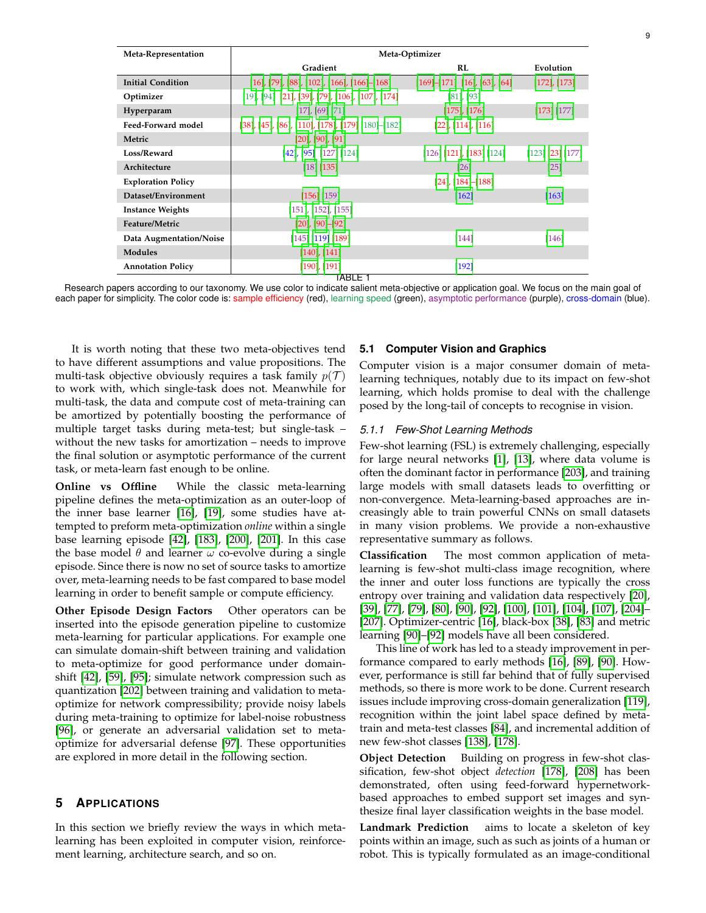| Meta-Representation       | Meta-Optimizer                                                         |                                            |                    |
|---------------------------|------------------------------------------------------------------------|--------------------------------------------|--------------------|
|                           | Gradient                                                               | <b>RL</b>                                  | Evolution          |
| <b>Initial Condition</b>  | $[16]$ , [79], [88], [102], [166], [166]–[168]                         | $[169]$ - $[171]$ $[16]$ , $[63]$ , $[64]$ | $[172]$ , $[173]$  |
| Optimizer                 | $[19]$ , $[94]$ $[21]$ , $[39]$ , $[79]$ , $[106]$ , $[107]$ , $[174]$ | $[81]$ , $[93]$                            |                    |
| Hyperparam                | $[17]$ , $[69]$ $[71]$                                                 | $[175]$ , $[176]$                          | [173] [177]        |
| Feed-Forward model        | [38], [45], [86], [110], [178], [179] [180]–[182]                      | $[22]$ , $[114]$ , $[116]$                 |                    |
| Metric                    | $[20]$ , $[90]$ , $[91]$                                               |                                            |                    |
| Loss/Reward               | $[42]$ , $[95]$ $[127]$ $[124]$                                        | $[126]$ [121], [183] [124]                 | $[123]$ [23] [177] |
| Architecture              | [18] [135]                                                             | [26]                                       | $[25]$             |
| <b>Exploration Policy</b> |                                                                        | $[24]$ , $[184]$ – $[188]$                 |                    |
| Dataset/Environment       | [156] [159]                                                            | [162]                                      | [163]              |
| <b>Instance Weights</b>   | $[151]$ , $[152]$ , $[155]$                                            |                                            |                    |
| Feature/Metric            | $[20]$ , $[90]$ - $[92]$                                               |                                            |                    |
| Data Augmentation/Noise   | $[145]$ [119] [189]                                                    | $[144]$                                    | $[146]$            |
| <b>Modules</b>            | $[140]$ , $[141]$                                                      |                                            |                    |
| <b>Annotation Policy</b>  | $[190]$ , $[191]$                                                      | [192]                                      |                    |
| TABLE 1                   |                                                                        |                                            |                    |

Research papers according to our taxonomy. We use color to indicate salient meta-objective or application goal. We focus on the main goal of each paper for simplicity. The color code is: sample efficiency (red), learning speed (green), asymptotic performance (purple), cross-domain (blue).

It is worth noting that these two meta-objectives tend to have different assumptions and value propositions. The multi-task objective obviously requires a task family  $p(\mathcal{T})$ to work with, which single-task does not. Meanwhile for multi-task, the data and compute cost of meta-training can be amortized by potentially boosting the performance of multiple target tasks during meta-test; but single-task – without the new tasks for amortization – needs to improve the final solution or asymptotic performance of the current task, or meta-learn fast enough to be online.

**Online vs Offline** While the classic meta-learning pipeline defines the meta-optimization as an outer-loop of the inner base learner [\[16\]](#page-14-13), [\[19\]](#page-15-0), some studies have attempted to preform meta-optimization *online* within a single base learning episode [\[42\]](#page-15-24), [\[183\]](#page-17-31), [\[200\]](#page-17-33), [\[201\]](#page-17-51). In this case the base model  $\theta$  and learner  $\omega$  co-evolve during a single episode. Since there is now no set of source tasks to amortize over, meta-learning needs to be fast compared to base model learning in order to benefit sample or compute efficiency.

**Other Episode Design Factors** Other operators can be inserted into the episode generation pipeline to customize meta-learning for particular applications. For example one can simulate domain-shift between training and validation to meta-optimize for good performance under domainshift [\[42\]](#page-15-24), [\[59\]](#page-15-41), [\[95\]](#page-16-11); simulate network compression such as quantization [\[202\]](#page-17-52) between training and validation to metaoptimize for network compressibility; provide noisy labels during meta-training to optimize for label-noise robustness [\[96\]](#page-16-12), or generate an adversarial validation set to metaoptimize for adversarial defense [\[97\]](#page-16-13). These opportunities are explored in more detail in the following section.

## **5 APPLICATIONS**

In this section we briefly review the ways in which metalearning has been exploited in computer vision, reinforcement learning, architecture search, and so on.

#### **5.1 Computer Vision and Graphics**

Computer vision is a major consumer domain of metalearning techniques, notably due to its impact on few-shot learning, which holds promise to deal with the challenge posed by the long-tail of concepts to recognise in vision.

#### <span id="page-8-0"></span>*5.1.1 Few-Shot Learning Methods*

Few-shot learning (FSL) is extremely challenging, especially for large neural networks [\[1\]](#page-14-0), [\[13\]](#page-14-10), where data volume is often the dominant factor in performance [\[203\]](#page-17-53), and training large models with small datasets leads to overfitting or non-convergence. Meta-learning-based approaches are increasingly able to train powerful CNNs on small datasets in many vision problems. We provide a non-exhaustive representative summary as follows.

**Classification** The most common application of metalearning is few-shot multi-class image recognition, where the inner and outer loss functions are typically the cross entropy over training and validation data respectively [\[20\]](#page-15-1), [\[39\]](#page-15-21), [\[77\]](#page-15-56), [\[79\]](#page-15-58), [\[80\]](#page-15-59), [\[90\]](#page-16-6), [\[92\]](#page-16-8), [\[100\]](#page-16-16), [\[101\]](#page-16-17), [\[104\]](#page-16-20), [\[107\]](#page-16-23), [\[204\]](#page-17-54)– [\[207\]](#page-18-0). Optimizer-centric [\[16\]](#page-14-13), black-box [\[38\]](#page-15-20), [\[83\]](#page-15-62) and metric learning [\[90\]](#page-16-6)–[\[92\]](#page-16-8) models have all been considered.

This line of work has led to a steady improvement in performance compared to early methods [\[16\]](#page-14-13), [\[89\]](#page-16-5), [\[90\]](#page-16-6). However, performance is still far behind that of fully supervised methods, so there is more work to be done. Current research issues include improving cross-domain generalization [\[119\]](#page-16-35), recognition within the joint label space defined by metatrain and meta-test classes [\[84\]](#page-16-0), and incremental addition of new few-shot classes [\[138\]](#page-16-53), [\[178\]](#page-17-42).

**Object Detection** Building on progress in few-shot classification, few-shot object *detection* [\[178\]](#page-17-42), [\[208\]](#page-18-1) has been demonstrated, often using feed-forward hypernetworkbased approaches to embed support set images and synthesize final layer classification weights in the base model.

**Landmark Prediction** aims to locate a skeleton of key points within an image, such as such as joints of a human or robot. This is typically formulated as an image-conditional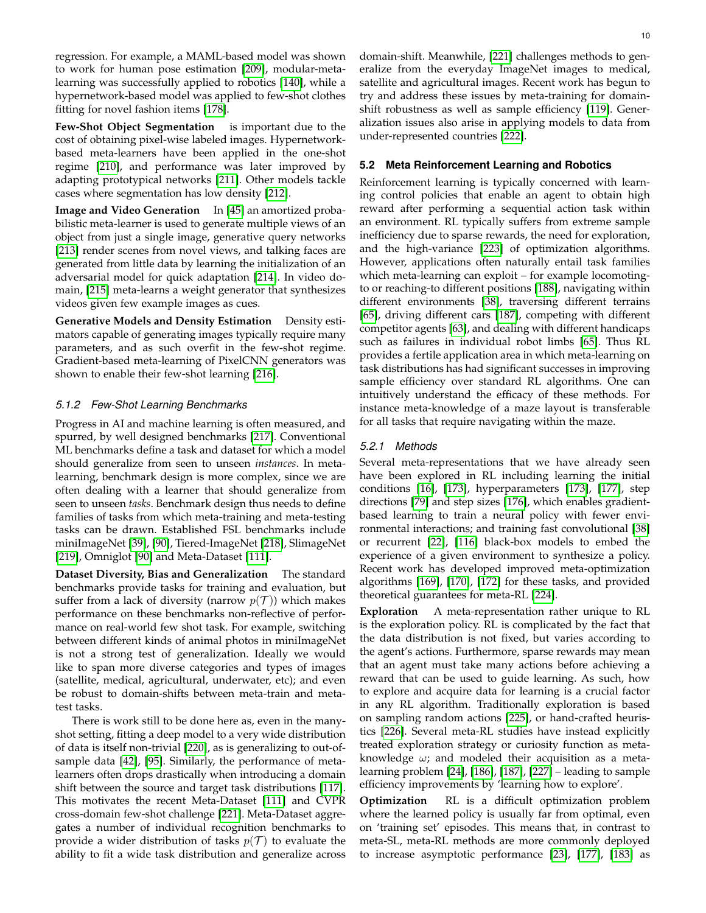regression. For example, a MAML-based model was shown to work for human pose estimation [\[209\]](#page-18-2), modular-metalearning was successfully applied to robotics [\[140\]](#page-16-55), while a hypernetwork-based model was applied to few-shot clothes fitting for novel fashion items [\[178\]](#page-17-42).

**Few-Shot Object Segmentation** is important due to the cost of obtaining pixel-wise labeled images. Hypernetworkbased meta-learners have been applied in the one-shot regime [\[210\]](#page-18-3), and performance was later improved by adapting prototypical networks [\[211\]](#page-18-4). Other models tackle cases where segmentation has low density [\[212\]](#page-18-5).

**Image and Video Generation** In [\[45\]](#page-15-27) an amortized probabilistic meta-learner is used to generate multiple views of an object from just a single image, generative query networks [\[213\]](#page-18-6) render scenes from novel views, and talking faces are generated from little data by learning the initialization of an adversarial model for quick adaptation [\[214\]](#page-18-7). In video domain, [\[215\]](#page-18-8) meta-learns a weight generator that synthesizes videos given few example images as cues.

**Generative Models and Density Estimation** Density estimators capable of generating images typically require many parameters, and as such overfit in the few-shot regime. Gradient-based meta-learning of PixelCNN generators was shown to enable their few-shot learning [\[216\]](#page-18-9).

## *5.1.2 Few-Shot Learning Benchmarks*

Progress in AI and machine learning is often measured, and spurred, by well designed benchmarks [\[217\]](#page-18-10). Conventional ML benchmarks define a task and dataset for which a model should generalize from seen to unseen *instances*. In metalearning, benchmark design is more complex, since we are often dealing with a learner that should generalize from seen to unseen *tasks*. Benchmark design thus needs to define families of tasks from which meta-training and meta-testing tasks can be drawn. Established FSL benchmarks include miniImageNet [\[39\]](#page-15-21), [\[90\]](#page-16-6), Tiered-ImageNet [\[218\]](#page-18-11), SlimageNet [\[219\]](#page-18-12), Omniglot [\[90\]](#page-16-6) and Meta-Dataset [\[111\]](#page-16-27).

**Dataset Diversity, Bias and Generalization** The standard benchmarks provide tasks for training and evaluation, but suffer from a lack of diversity (narrow  $p(\mathcal{T})$ ) which makes performance on these benchmarks non-reflective of performance on real-world few shot task. For example, switching between different kinds of animal photos in miniImageNet is not a strong test of generalization. Ideally we would like to span more diverse categories and types of images (satellite, medical, agricultural, underwater, etc); and even be robust to domain-shifts between meta-train and metatest tasks.

There is work still to be done here as, even in the manyshot setting, fitting a deep model to a very wide distribution of data is itself non-trivial [\[220\]](#page-18-13), as is generalizing to out-ofsample data [\[42\]](#page-15-24), [\[95\]](#page-16-11). Similarly, the performance of metalearners often drops drastically when introducing a domain shift between the source and target task distributions [\[117\]](#page-16-33). This motivates the recent Meta-Dataset [\[111\]](#page-16-27) and CVPR cross-domain few-shot challenge [\[221\]](#page-18-14). Meta-Dataset aggregates a number of individual recognition benchmarks to provide a wider distribution of tasks  $p(\mathcal{T})$  to evaluate the ability to fit a wide task distribution and generalize across

domain-shift. Meanwhile, [\[221\]](#page-18-14) challenges methods to generalize from the everyday ImageNet images to medical, satellite and agricultural images. Recent work has begun to try and address these issues by meta-training for domainshift robustness as well as sample efficiency [\[119\]](#page-16-35). Generalization issues also arise in applying models to data from under-represented countries [\[222\]](#page-18-15).

## **5.2 Meta Reinforcement Learning and Robotics**

Reinforcement learning is typically concerned with learning control policies that enable an agent to obtain high reward after performing a sequential action task within an environment. RL typically suffers from extreme sample inefficiency due to sparse rewards, the need for exploration, and the high-variance [\[223\]](#page-18-16) of optimization algorithms. However, applications often naturally entail task families which meta-learning can exploit – for example locomotingto or reaching-to different positions [\[188\]](#page-17-46), navigating within different environments [\[38\]](#page-15-20), traversing different terrains [\[65\]](#page-15-45), driving different cars [\[187\]](#page-17-55), competing with different competitor agents [\[63\]](#page-15-44), and dealing with different handicaps such as failures in individual robot limbs [\[65\]](#page-15-45). Thus RL provides a fertile application area in which meta-learning on task distributions has had significant successes in improving sample efficiency over standard RL algorithms. One can intuitively understand the efficacy of these methods. For instance meta-knowledge of a maze layout is transferable for all tasks that require navigating within the maze.

## *5.2.1 Methods*

Several meta-representations that we have already seen have been explored in RL including learning the initial conditions [\[16\]](#page-14-13), [\[173\]](#page-17-38), hyperparameters [\[173\]](#page-17-38), [\[177\]](#page-17-41), step directions [\[79\]](#page-15-58) and step sizes [\[176\]](#page-17-40), which enables gradientbased learning to train a neural policy with fewer environmental interactions; and training fast convolutional [\[38\]](#page-15-20) or recurrent [\[22\]](#page-15-3), [\[116\]](#page-16-32) black-box models to embed the experience of a given environment to synthesize a policy. Recent work has developed improved meta-optimization algorithms [\[169\]](#page-17-36), [\[170\]](#page-17-56), [\[172\]](#page-17-27) for these tasks, and provided theoretical guarantees for meta-RL [\[224\]](#page-18-17).

**Exploration** A meta-representation rather unique to RL is the exploration policy. RL is complicated by the fact that the data distribution is not fixed, but varies according to the agent's actions. Furthermore, sparse rewards may mean that an agent must take many actions before achieving a reward that can be used to guide learning. As such, how to explore and acquire data for learning is a crucial factor in any RL algorithm. Traditionally exploration is based on sampling random actions [\[225\]](#page-18-18), or hand-crafted heuristics [\[226\]](#page-18-19). Several meta-RL studies have instead explicitly treated exploration strategy or curiosity function as metaknowledge  $\omega$ ; and modeled their acquisition as a metalearning problem [\[24\]](#page-15-5), [\[186\]](#page-17-57), [\[187\]](#page-17-55), [\[227\]](#page-18-20) – leading to sample efficiency improvements by 'learning how to explore'.

**Optimization** RL is a difficult optimization problem where the learned policy is usually far from optimal, even on 'training set' episodes. This means that, in contrast to meta-SL, meta-RL methods are more commonly deployed to increase asymptotic performance [\[23\]](#page-15-4), [\[177\]](#page-17-41), [\[183\]](#page-17-31) as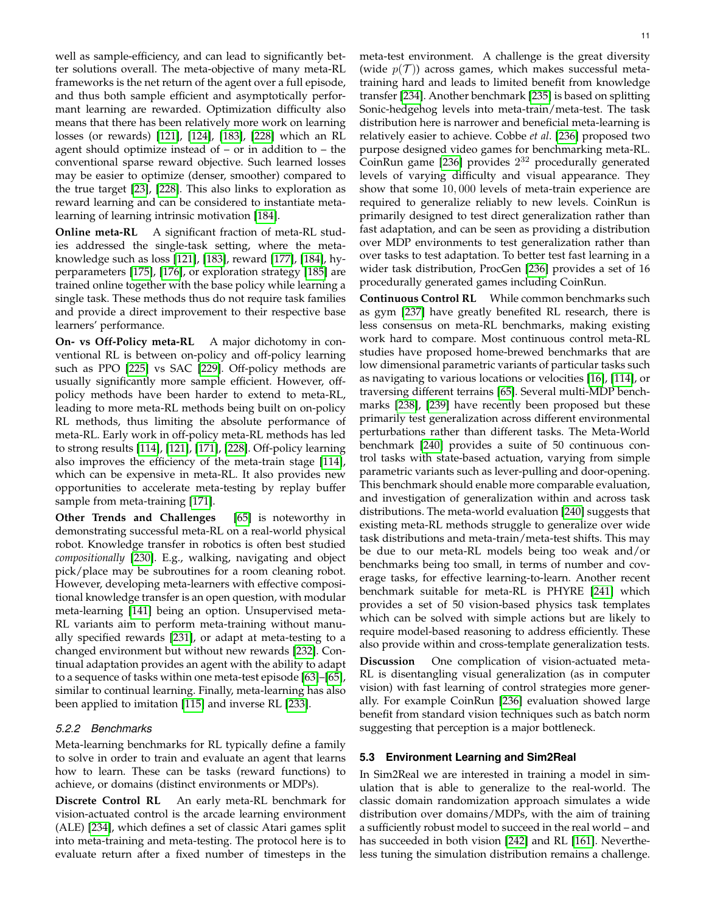well as sample-efficiency, and can lead to significantly better solutions overall. The meta-objective of many meta-RL frameworks is the net return of the agent over a full episode, and thus both sample efficient and asymptotically performant learning are rewarded. Optimization difficulty also means that there has been relatively more work on learning losses (or rewards) [\[121\]](#page-16-37), [\[124\]](#page-16-39), [\[183\]](#page-17-31), [\[228\]](#page-18-21) which an RL agent should optimize instead of – or in addition to – the conventional sparse reward objective. Such learned losses may be easier to optimize (denser, smoother) compared to the true target [\[23\]](#page-15-4), [\[228\]](#page-18-21). This also links to exploration as reward learning and can be considered to instantiate metalearning of learning intrinsic motivation [\[184\]](#page-17-32).

**Online meta-RL** A significant fraction of meta-RL studies addressed the single-task setting, where the metaknowledge such as loss [\[121\]](#page-16-37), [\[183\]](#page-17-31), reward [\[177\]](#page-17-41), [\[184\]](#page-17-32), hyperparameters [\[175\]](#page-17-30), [\[176\]](#page-17-40), or exploration strategy [\[185\]](#page-17-58) are trained online together with the base policy while learning a single task. These methods thus do not require task families and provide a direct improvement to their respective base learners' performance.

**On- vs Off-Policy meta-RL** A major dichotomy in conventional RL is between on-policy and off-policy learning such as PPO [\[225\]](#page-18-18) vs SAC [\[229\]](#page-18-22). Off-policy methods are usually significantly more sample efficient. However, offpolicy methods have been harder to extend to meta-RL, leading to more meta-RL methods being built on on-policy RL methods, thus limiting the absolute performance of meta-RL. Early work in off-policy meta-RL methods has led to strong results [\[114\]](#page-16-30), [\[121\]](#page-16-37), [\[171\]](#page-17-37), [\[228\]](#page-18-21). Off-policy learning also improves the efficiency of the meta-train stage [\[114\]](#page-16-30), which can be expensive in meta-RL. It also provides new opportunities to accelerate meta-testing by replay buffer sample from meta-training [\[171\]](#page-17-37).

**Other Trends and Challenges** [\[65\]](#page-15-45) is noteworthy in demonstrating successful meta-RL on a real-world physical robot. Knowledge transfer in robotics is often best studied *compositionally* [\[230\]](#page-18-23). E.g., walking, navigating and object pick/place may be subroutines for a room cleaning robot. However, developing meta-learners with effective compositional knowledge transfer is an open question, with modular meta-learning [\[141\]](#page-16-56) being an option. Unsupervised meta-RL variants aim to perform meta-training without manually specified rewards [\[231\]](#page-18-24), or adapt at meta-testing to a changed environment but without new rewards [\[232\]](#page-18-25). Continual adaptation provides an agent with the ability to adapt to a sequence of tasks within one meta-test episode [\[63\]](#page-15-44)–[\[65\]](#page-15-45), similar to continual learning. Finally, meta-learning has also been applied to imitation [\[115\]](#page-16-31) and inverse RL [\[233\]](#page-18-26).

#### *5.2.2 Benchmarks*

Meta-learning benchmarks for RL typically define a family to solve in order to train and evaluate an agent that learns how to learn. These can be tasks (reward functions) to achieve, or domains (distinct environments or MDPs).

**Discrete Control RL** An early meta-RL benchmark for vision-actuated control is the arcade learning environment (ALE) [\[234\]](#page-18-27), which defines a set of classic Atari games split into meta-training and meta-testing. The protocol here is to evaluate return after a fixed number of timesteps in the

meta-test environment. A challenge is the great diversity (wide  $p(\mathcal{T})$ ) across games, which makes successful metatraining hard and leads to limited benefit from knowledge transfer [\[234\]](#page-18-27). Another benchmark [\[235\]](#page-18-28) is based on splitting Sonic-hedgehog levels into meta-train/meta-test. The task distribution here is narrower and beneficial meta-learning is relatively easier to achieve. Cobbe *et al*. [\[236\]](#page-18-29) proposed two purpose designed video games for benchmarking meta-RL. CoinRun game [\[236\]](#page-18-29) provides  $2^{32}$  procedurally generated levels of varying difficulty and visual appearance. They show that some 10, 000 levels of meta-train experience are required to generalize reliably to new levels. CoinRun is primarily designed to test direct generalization rather than fast adaptation, and can be seen as providing a distribution over MDP environments to test generalization rather than over tasks to test adaptation. To better test fast learning in a wider task distribution, ProcGen [\[236\]](#page-18-29) provides a set of 16 procedurally generated games including CoinRun.

**Continuous Control RL** While common benchmarks such as gym [\[237\]](#page-18-30) have greatly benefited RL research, there is less consensus on meta-RL benchmarks, making existing work hard to compare. Most continuous control meta-RL studies have proposed home-brewed benchmarks that are low dimensional parametric variants of particular tasks such as navigating to various locations or velocities [\[16\]](#page-14-13), [\[114\]](#page-16-30), or traversing different terrains [\[65\]](#page-15-45). Several multi-MDP benchmarks [\[238\]](#page-18-31), [\[239\]](#page-18-32) have recently been proposed but these primarily test generalization across different environmental perturbations rather than different tasks. The Meta-World benchmark [\[240\]](#page-18-33) provides a suite of 50 continuous control tasks with state-based actuation, varying from simple parametric variants such as lever-pulling and door-opening. This benchmark should enable more comparable evaluation, and investigation of generalization within and across task distributions. The meta-world evaluation [\[240\]](#page-18-33) suggests that existing meta-RL methods struggle to generalize over wide task distributions and meta-train/meta-test shifts. This may be due to our meta-RL models being too weak and/or benchmarks being too small, in terms of number and coverage tasks, for effective learning-to-learn. Another recent benchmark suitable for meta-RL is PHYRE [\[241\]](#page-18-34) which provides a set of 50 vision-based physics task templates which can be solved with simple actions but are likely to require model-based reasoning to address efficiently. These also provide within and cross-template generalization tests.

**Discussion** One complication of vision-actuated meta-RL is disentangling visual generalization (as in computer vision) with fast learning of control strategies more generally. For example CoinRun [\[236\]](#page-18-29) evaluation showed large benefit from standard vision techniques such as batch norm suggesting that perception is a major bottleneck.

#### <span id="page-10-0"></span>**5.3 Environment Learning and Sim2Real**

In Sim2Real we are interested in training a model in simulation that is able to generalize to the real-world. The classic domain randomization approach simulates a wide distribution over domains/MDPs, with the aim of training a sufficiently robust model to succeed in the real world – and has succeeded in both vision [\[242\]](#page-18-35) and RL [\[161\]](#page-17-16). Nevertheless tuning the simulation distribution remains a challenge.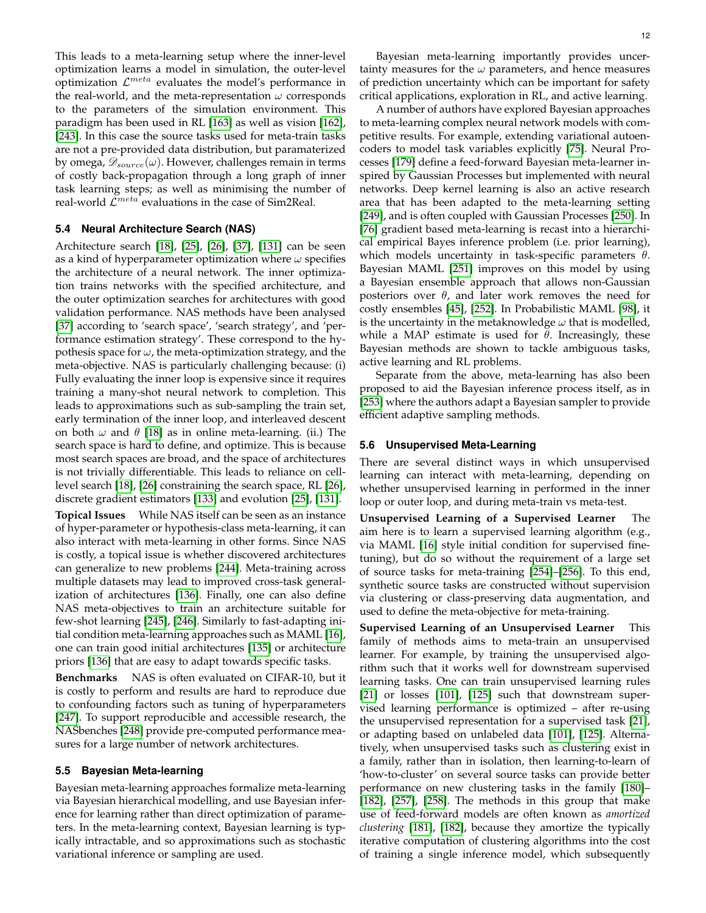This leads to a meta-learning setup where the inner-level optimization learns a model in simulation, the outer-level optimization  $\mathcal{L}^{meta}$  evaluates the model's performance in the real-world, and the meta-representation  $\omega$  corresponds to the parameters of the simulation environment. This paradigm has been used in RL [\[163\]](#page-17-18) as well as vision [\[162\]](#page-17-17), [\[243\]](#page-18-36). In this case the source tasks used for meta-train tasks are not a pre-provided data distribution, but paramaterized by omega,  $\mathscr{D}_{source}(\omega)$ . However, challenges remain in terms of costly back-propagation through a long graph of inner task learning steps; as well as minimising the number of real-world  $\mathcal{L}^{meta}$  evaluations in the case of Sim2Real.

## <span id="page-11-0"></span>**5.4 Neural Architecture Search (NAS)**

Architecture search [\[18\]](#page-15-6), [\[25\]](#page-15-7), [\[26\]](#page-15-8), [\[37\]](#page-15-19), [\[131\]](#page-16-46) can be seen as a kind of hyperparameter optimization where  $\omega$  specifies the architecture of a neural network. The inner optimization trains networks with the specified architecture, and the outer optimization searches for architectures with good validation performance. NAS methods have been analysed [\[37\]](#page-15-19) according to 'search space', 'search strategy', and 'performance estimation strategy'. These correspond to the hypothesis space for  $\omega$ , the meta-optimization strategy, and the meta-objective. NAS is particularly challenging because: (i) Fully evaluating the inner loop is expensive since it requires training a many-shot neural network to completion. This leads to approximations such as sub-sampling the train set, early termination of the inner loop, and interleaved descent on both  $\omega$  and  $\theta$  [\[18\]](#page-15-6) as in online meta-learning. (ii.) The search space is hard to define, and optimize. This is because most search spaces are broad, and the space of architectures is not trivially differentiable. This leads to reliance on celllevel search [\[18\]](#page-15-6), [\[26\]](#page-15-8) constraining the search space, RL [\[26\]](#page-15-8), discrete gradient estimators [\[133\]](#page-16-48) and evolution [\[25\]](#page-15-7), [\[131\]](#page-16-46).

**Topical Issues** While NAS itself can be seen as an instance of hyper-parameter or hypothesis-class meta-learning, it can also interact with meta-learning in other forms. Since NAS is costly, a topical issue is whether discovered architectures can generalize to new problems [\[244\]](#page-18-37). Meta-training across multiple datasets may lead to improved cross-task generalization of architectures [\[136\]](#page-16-51). Finally, one can also define NAS meta-objectives to train an architecture suitable for few-shot learning [\[245\]](#page-18-38), [\[246\]](#page-18-39). Similarly to fast-adapting initial condition meta-learning approaches such as MAML [\[16\]](#page-14-13), one can train good initial architectures [\[135\]](#page-16-50) or architecture priors [\[136\]](#page-16-51) that are easy to adapt towards specific tasks.

**Benchmarks** NAS is often evaluated on CIFAR-10, but it is costly to perform and results are hard to reproduce due to confounding factors such as tuning of hyperparameters [\[247\]](#page-18-40). To support reproducible and accessible research, the NASbenches [\[248\]](#page-18-41) provide pre-computed performance measures for a large number of network architectures.

#### **5.5 Bayesian Meta-learning**

Bayesian meta-learning approaches formalize meta-learning via Bayesian hierarchical modelling, and use Bayesian inference for learning rather than direct optimization of parameters. In the meta-learning context, Bayesian learning is typically intractable, and so approximations such as stochastic variational inference or sampling are used.

Bayesian meta-learning importantly provides uncertainty measures for the  $\omega$  parameters, and hence measures of prediction uncertainty which can be important for safety critical applications, exploration in RL, and active learning.

A number of authors have explored Bayesian approaches to meta-learning complex neural network models with competitive results. For example, extending variational autoencoders to model task variables explicitly [\[75\]](#page-15-54). Neural Processes [\[179\]](#page-17-43) define a feed-forward Bayesian meta-learner inspired by Gaussian Processes but implemented with neural networks. Deep kernel learning is also an active research area that has been adapted to the meta-learning setting [\[249\]](#page-18-42), and is often coupled with Gaussian Processes [\[250\]](#page-18-43). In [\[76\]](#page-15-55) gradient based meta-learning is recast into a hierarchical empirical Bayes inference problem (i.e. prior learning), which models uncertainty in task-specific parameters  $\theta$ . Bayesian MAML [\[251\]](#page-18-44) improves on this model by using a Bayesian ensemble approach that allows non-Gaussian posteriors over  $\theta$ , and later work removes the need for costly ensembles [\[45\]](#page-15-27), [\[252\]](#page-18-45). In Probabilistic MAML [\[98\]](#page-16-14), it is the uncertainty in the metaknowledge  $\omega$  that is modelled, while a MAP estimate is used for  $\theta$ . Increasingly, these Bayesian methods are shown to tackle ambiguous tasks, active learning and RL problems.

Separate from the above, meta-learning has also been proposed to aid the Bayesian inference process itself, as in [\[253\]](#page-18-46) where the authors adapt a Bayesian sampler to provide efficient adaptive sampling methods.

#### **5.6 Unsupervised Meta-Learning**

There are several distinct ways in which unsupervised learning can interact with meta-learning, depending on whether unsupervised learning in performed in the inner loop or outer loop, and during meta-train vs meta-test.

**Unsupervised Learning of a Supervised Learner** The aim here is to learn a supervised learning algorithm (e.g., via MAML [\[16\]](#page-14-13) style initial condition for supervised finetuning), but do so without the requirement of a large set of source tasks for meta-training [\[254\]](#page-18-47)–[\[256\]](#page-18-48). To this end, synthetic source tasks are constructed without supervision via clustering or class-preserving data augmentation, and used to define the meta-objective for meta-training.

**Supervised Learning of an Unsupervised Learner** This family of methods aims to meta-train an unsupervised learner. For example, by training the unsupervised algorithm such that it works well for downstream supervised learning tasks. One can train unsupervised learning rules [\[21\]](#page-15-2) or losses [\[101\]](#page-16-17), [\[125\]](#page-16-40) such that downstream supervised learning performance is optimized – after re-using the unsupervised representation for a supervised task [\[21\]](#page-15-2), or adapting based on unlabeled data [\[101\]](#page-16-17), [\[125\]](#page-16-40). Alternatively, when unsupervised tasks such as clustering exist in a family, rather than in isolation, then learning-to-learn of 'how-to-cluster' on several source tasks can provide better performance on new clustering tasks in the family [\[180\]](#page-17-44)– [\[182\]](#page-17-45), [\[257\]](#page-18-49), [\[258\]](#page-18-50). The methods in this group that make use of feed-forward models are often known as *amortized clustering* [\[181\]](#page-17-59), [\[182\]](#page-17-45), because they amortize the typically iterative computation of clustering algorithms into the cost of training a single inference model, which subsequently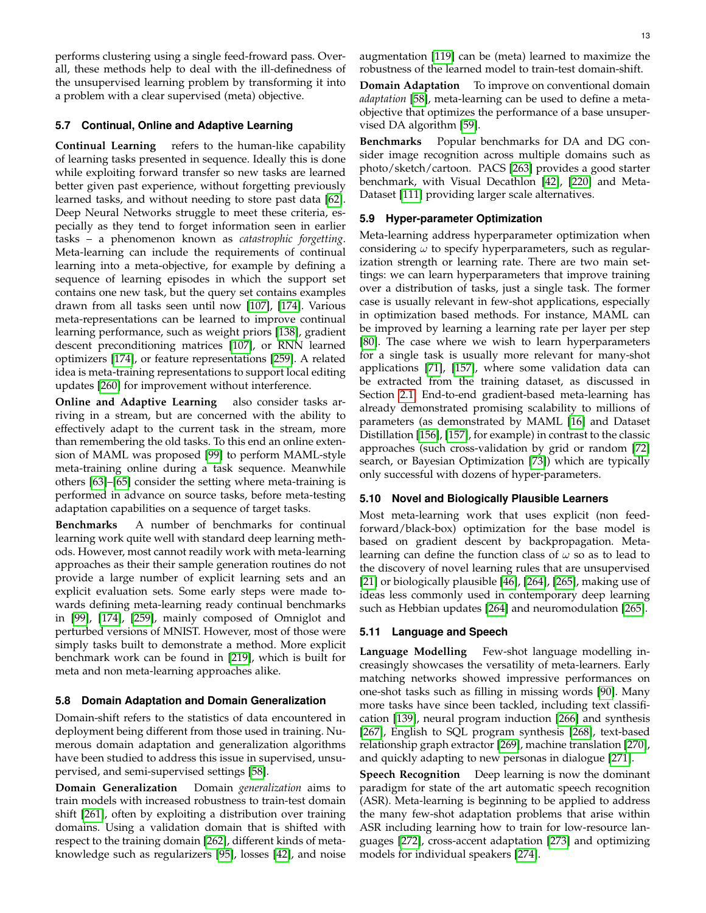performs clustering using a single feed-froward pass. Overall, these methods help to deal with the ill-definedness of the unsupervised learning problem by transforming it into a problem with a clear supervised (meta) objective.

## **5.7 Continual, Online and Adaptive Learning**

**Continual Learning** refers to the human-like capability of learning tasks presented in sequence. Ideally this is done while exploiting forward transfer so new tasks are learned better given past experience, without forgetting previously learned tasks, and without needing to store past data [\[62\]](#page-15-43). Deep Neural Networks struggle to meet these criteria, especially as they tend to forget information seen in earlier tasks – a phenomenon known as *catastrophic forgetting*. Meta-learning can include the requirements of continual learning into a meta-objective, for example by defining a sequence of learning episodes in which the support set contains one new task, but the query set contains examples drawn from all tasks seen until now [\[107\]](#page-16-23), [\[174\]](#page-17-39). Various meta-representations can be learned to improve continual learning performance, such as weight priors [\[138\]](#page-16-53), gradient descent preconditioning matrices [\[107\]](#page-16-23), or RNN learned optimizers [\[174\]](#page-17-39), or feature representations [\[259\]](#page-18-51). A related idea is meta-training representations to support local editing updates [\[260\]](#page-18-52) for improvement without interference.

**Online and Adaptive Learning** also consider tasks arriving in a stream, but are concerned with the ability to effectively adapt to the current task in the stream, more than remembering the old tasks. To this end an online extension of MAML was proposed [\[99\]](#page-16-15) to perform MAML-style meta-training online during a task sequence. Meanwhile others [\[63\]](#page-15-44)–[\[65\]](#page-15-45) consider the setting where meta-training is performed in advance on source tasks, before meta-testing adaptation capabilities on a sequence of target tasks.

**Benchmarks** A number of benchmarks for continual learning work quite well with standard deep learning methods. However, most cannot readily work with meta-learning approaches as their their sample generation routines do not provide a large number of explicit learning sets and an explicit evaluation sets. Some early steps were made towards defining meta-learning ready continual benchmarks in [\[99\]](#page-16-15), [\[174\]](#page-17-39), [\[259\]](#page-18-51), mainly composed of Omniglot and perturbed versions of MNIST. However, most of those were simply tasks built to demonstrate a method. More explicit benchmark work can be found in [\[219\]](#page-18-12), which is built for meta and non meta-learning approaches alike.

## <span id="page-12-0"></span>**5.8 Domain Adaptation and Domain Generalization**

Domain-shift refers to the statistics of data encountered in deployment being different from those used in training. Numerous domain adaptation and generalization algorithms have been studied to address this issue in supervised, unsupervised, and semi-supervised settings [\[58\]](#page-15-40).

**Domain Generalization** Domain *generalization* aims to train models with increased robustness to train-test domain shift [\[261\]](#page-18-53), often by exploiting a distribution over training domains. Using a validation domain that is shifted with respect to the training domain [\[262\]](#page-18-54), different kinds of metaknowledge such as regularizers [\[95\]](#page-16-11), losses [\[42\]](#page-15-24), and noise

**Domain Adaptation** To improve on conventional domain *adaptation* [\[58\]](#page-15-40), meta-learning can be used to define a metaobjective that optimizes the performance of a base unsupervised DA algorithm [\[59\]](#page-15-41).

**Benchmarks** Popular benchmarks for DA and DG consider image recognition across multiple domains such as photo/sketch/cartoon. PACS [\[263\]](#page-18-55) provides a good starter benchmark, with Visual Decathlon [\[42\]](#page-15-24), [\[220\]](#page-18-13) and Meta-Dataset [\[111\]](#page-16-27) providing larger scale alternatives.

# **5.9 Hyper-parameter Optimization**

Meta-learning address hyperparameter optimization when considering  $\omega$  to specify hyperparameters, such as regularization strength or learning rate. There are two main settings: we can learn hyperparameters that improve training over a distribution of tasks, just a single task. The former case is usually relevant in few-shot applications, especially in optimization based methods. For instance, MAML can be improved by learning a learning rate per layer per step [\[80\]](#page-15-59). The case where we wish to learn hyperparameters for a single task is usually more relevant for many-shot applications [\[71\]](#page-15-50), [\[157\]](#page-17-12), where some validation data can be extracted from the training dataset, as discussed in Section [2.1.](#page-1-4) End-to-end gradient-based meta-learning has already demonstrated promising scalability to millions of parameters (as demonstrated by MAML [\[16\]](#page-14-13) and Dataset Distillation [\[156\]](#page-17-11), [\[157\]](#page-17-12), for example) in contrast to the classic approaches (such cross-validation by grid or random [\[72\]](#page-15-51) search, or Bayesian Optimization [\[73\]](#page-15-52)) which are typically only successful with dozens of hyper-parameters.

## **5.10 Novel and Biologically Plausible Learners**

Most meta-learning work that uses explicit (non feedforward/black-box) optimization for the base model is based on gradient descent by backpropagation. Metalearning can define the function class of  $\omega$  so as to lead to the discovery of novel learning rules that are unsupervised [\[21\]](#page-15-2) or biologically plausible [\[46\]](#page-15-28), [\[264\]](#page-19-0), [\[265\]](#page-19-1), making use of ideas less commonly used in contemporary deep learning such as Hebbian updates [\[264\]](#page-19-0) and neuromodulation [\[265\]](#page-19-1).

## **5.11 Language and Speech**

**Language Modelling** Few-shot language modelling increasingly showcases the versatility of meta-learners. Early matching networks showed impressive performances on one-shot tasks such as filling in missing words [\[90\]](#page-16-6). Many more tasks have since been tackled, including text classification [\[139\]](#page-16-54), neural program induction [\[266\]](#page-19-2) and synthesis [\[267\]](#page-19-3), English to SQL program synthesis [\[268\]](#page-19-4), text-based relationship graph extractor [\[269\]](#page-19-5), machine translation [\[270\]](#page-19-6), and quickly adapting to new personas in dialogue [\[271\]](#page-19-7).

**Speech Recognition** Deep learning is now the dominant paradigm for state of the art automatic speech recognition (ASR). Meta-learning is beginning to be applied to address the many few-shot adaptation problems that arise within ASR including learning how to train for low-resource languages [\[272\]](#page-19-8), cross-accent adaptation [\[273\]](#page-19-9) and optimizing models for individual speakers [\[274\]](#page-19-10).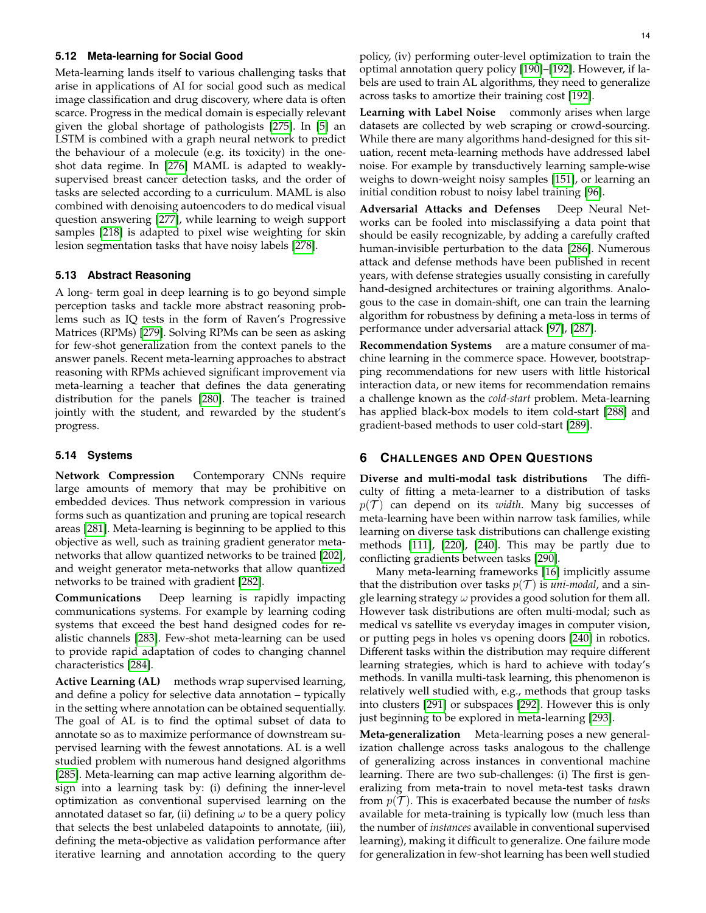## **5.12 Meta-learning for Social Good**

Meta-learning lands itself to various challenging tasks that arise in applications of AI for social good such as medical image classification and drug discovery, where data is often scarce. Progress in the medical domain is especially relevant given the global shortage of pathologists [\[275\]](#page-19-11). In [\[5\]](#page-14-3) an LSTM is combined with a graph neural network to predict the behaviour of a molecule (e.g. its toxicity) in the oneshot data regime. In [\[276\]](#page-19-12) MAML is adapted to weaklysupervised breast cancer detection tasks, and the order of tasks are selected according to a curriculum. MAML is also combined with denoising autoencoders to do medical visual question answering [\[277\]](#page-19-13), while learning to weigh support samples [\[218\]](#page-18-11) is adapted to pixel wise weighting for skin lesion segmentation tasks that have noisy labels [\[278\]](#page-19-14).

#### **5.13 Abstract Reasoning**

A long- term goal in deep learning is to go beyond simple perception tasks and tackle more abstract reasoning problems such as IQ tests in the form of Raven's Progressive Matrices (RPMs) [\[279\]](#page-19-15). Solving RPMs can be seen as asking for few-shot generalization from the context panels to the answer panels. Recent meta-learning approaches to abstract reasoning with RPMs achieved significant improvement via meta-learning a teacher that defines the data generating distribution for the panels [\[280\]](#page-19-16). The teacher is trained jointly with the student, and rewarded by the student's progress.

## **5.14 Systems**

**Network Compression** Contemporary CNNs require large amounts of memory that may be prohibitive on embedded devices. Thus network compression in various forms such as quantization and pruning are topical research areas [\[281\]](#page-19-17). Meta-learning is beginning to be applied to this objective as well, such as training gradient generator metanetworks that allow quantized networks to be trained [\[202\]](#page-17-52), and weight generator meta-networks that allow quantized networks to be trained with gradient [\[282\]](#page-19-18).

**Communications** Deep learning is rapidly impacting communications systems. For example by learning coding systems that exceed the best hand designed codes for realistic channels [\[283\]](#page-19-19). Few-shot meta-learning can be used to provide rapid adaptation of codes to changing channel characteristics [\[284\]](#page-19-20).

**Active Learning (AL)** methods wrap supervised learning, and define a policy for selective data annotation – typically in the setting where annotation can be obtained sequentially. The goal of AL is to find the optimal subset of data to annotate so as to maximize performance of downstream supervised learning with the fewest annotations. AL is a well studied problem with numerous hand designed algorithms [\[285\]](#page-19-21). Meta-learning can map active learning algorithm design into a learning task by: (i) defining the inner-level optimization as conventional supervised learning on the annotated dataset so far, (ii) defining  $\omega$  to be a query policy that selects the best unlabeled datapoints to annotate, (iii), defining the meta-objective as validation performance after iterative learning and annotation according to the query

policy, (iv) performing outer-level optimization to train the optimal annotation query policy [\[190\]](#page-17-48)–[\[192\]](#page-17-50). However, if labels are used to train AL algorithms, they need to generalize across tasks to amortize their training cost [\[192\]](#page-17-50).

Learning with Label Noise commonly arises when large datasets are collected by web scraping or crowd-sourcing. While there are many algorithms hand-designed for this situation, recent meta-learning methods have addressed label noise. For example by transductively learning sample-wise weighs to down-weight noisy samples [\[151\]](#page-17-6), or learning an initial condition robust to noisy label training [\[96\]](#page-16-12).

**Adversarial Attacks and Defenses** Deep Neural Networks can be fooled into misclassifying a data point that should be easily recognizable, by adding a carefully crafted human-invisible perturbation to the data [\[286\]](#page-19-22). Numerous attack and defense methods have been published in recent years, with defense strategies usually consisting in carefully hand-designed architectures or training algorithms. Analogous to the case in domain-shift, one can train the learning algorithm for robustness by defining a meta-loss in terms of performance under adversarial attack [\[97\]](#page-16-13), [\[287\]](#page-19-23).

**Recommendation Systems** are a mature consumer of machine learning in the commerce space. However, bootstrapping recommendations for new users with little historical interaction data, or new items for recommendation remains a challenge known as the *cold-start* problem. Meta-learning has applied black-box models to item cold-start [\[288\]](#page-19-24) and gradient-based methods to user cold-start [\[289\]](#page-19-25).

# <span id="page-13-0"></span>**6 CHALLENGES AND OPEN QUESTIONS**

**Diverse and multi-modal task distributions** The difficulty of fitting a meta-learner to a distribution of tasks  $p(\mathcal{T})$  can depend on its *width*. Many big successes of meta-learning have been within narrow task families, while learning on diverse task distributions can challenge existing methods [\[111\]](#page-16-27), [\[220\]](#page-18-13), [\[240\]](#page-18-33). This may be partly due to conflicting gradients between tasks [\[290\]](#page-19-26).

Many meta-learning frameworks [\[16\]](#page-14-13) implicitly assume that the distribution over tasks  $p(\mathcal{T})$  is *uni-modal*, and a single learning strategy  $\omega$  provides a good solution for them all. However task distributions are often multi-modal; such as medical vs satellite vs everyday images in computer vision, or putting pegs in holes vs opening doors [\[240\]](#page-18-33) in robotics. Different tasks within the distribution may require different learning strategies, which is hard to achieve with today's methods. In vanilla multi-task learning, this phenomenon is relatively well studied with, e.g., methods that group tasks into clusters [\[291\]](#page-19-27) or subspaces [\[292\]](#page-19-28). However this is only just beginning to be explored in meta-learning [\[293\]](#page-19-29).

**Meta-generalization** Meta-learning poses a new generalization challenge across tasks analogous to the challenge of generalizing across instances in conventional machine learning. There are two sub-challenges: (i) The first is generalizing from meta-train to novel meta-test tasks drawn from  $p(\mathcal{T})$ . This is exacerbated because the number of *tasks* available for meta-training is typically low (much less than the number of *instances* available in conventional supervised learning), making it difficult to generalize. One failure mode for generalization in few-shot learning has been well studied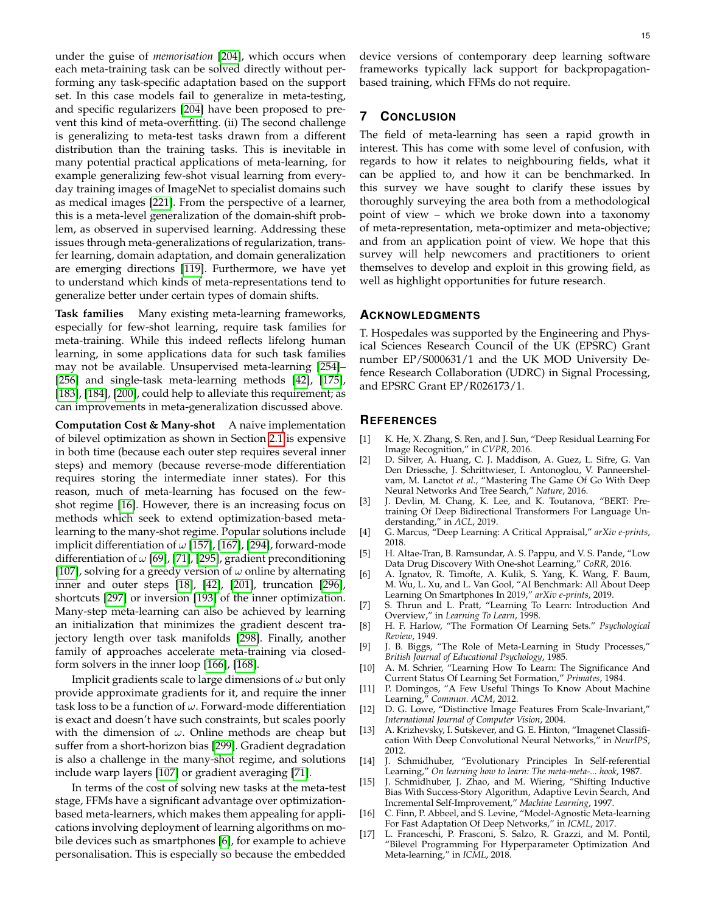under the guise of *memorisation* [\[204\]](#page-17-54), which occurs when each meta-training task can be solved directly without performing any task-specific adaptation based on the support set. In this case models fail to generalize in meta-testing, and specific regularizers [\[204\]](#page-17-54) have been proposed to prevent this kind of meta-overfitting. (ii) The second challenge is generalizing to meta-test tasks drawn from a different distribution than the training tasks. This is inevitable in many potential practical applications of meta-learning, for example generalizing few-shot visual learning from everyday training images of ImageNet to specialist domains such as medical images [\[221\]](#page-18-14). From the perspective of a learner, this is a meta-level generalization of the domain-shift problem, as observed in supervised learning. Addressing these issues through meta-generalizations of regularization, transfer learning, domain adaptation, and domain generalization are emerging directions [\[119\]](#page-16-35). Furthermore, we have yet to understand which kinds of meta-representations tend to generalize better under certain types of domain shifts.

**Task families** Many existing meta-learning frameworks, especially for few-shot learning, require task families for meta-training. While this indeed reflects lifelong human learning, in some applications data for such task families may not be available. Unsupervised meta-learning [\[254\]](#page-18-47)– [\[256\]](#page-18-48) and single-task meta-learning methods [\[42\]](#page-15-24), [\[175\]](#page-17-30), [\[183\]](#page-17-31), [\[184\]](#page-17-32), [\[200\]](#page-17-33), could help to alleviate this requirement; as can improvements in meta-generalization discussed above.

**Computation Cost & Many-shot** A naive implementation of bilevel optimization as shown in Section [2.1](#page-1-4) is expensive in both time (because each outer step requires several inner steps) and memory (because reverse-mode differentiation requires storing the intermediate inner states). For this reason, much of meta-learning has focused on the fewshot regime [\[16\]](#page-14-13). However, there is an increasing focus on methods which seek to extend optimization-based metalearning to the many-shot regime. Popular solutions include implicit differentiation of  $\omega$  [\[157\]](#page-17-12), [\[167\]](#page-17-22), [\[294\]](#page-19-30), forward-mode differentiation of  $\omega$  [\[69\]](#page-15-48), [\[71\]](#page-15-50), [\[295\]](#page-19-31), gradient preconditioning [\[107\]](#page-16-23), solving for a greedy version of  $\omega$  online by alternating inner and outer steps [\[18\]](#page-15-6), [\[42\]](#page-15-24), [\[201\]](#page-17-51), truncation [\[296\]](#page-19-32), shortcuts [\[297\]](#page-19-33) or inversion [\[193\]](#page-17-21) of the inner optimization. Many-step meta-learning can also be achieved by learning an initialization that minimizes the gradient descent trajectory length over task manifolds [\[298\]](#page-19-34). Finally, another family of approaches accelerate meta-training via closedform solvers in the inner loop [\[166\]](#page-17-34), [\[168\]](#page-17-35).

Implicit gradients scale to large dimensions of  $\omega$  but only provide approximate gradients for it, and require the inner task loss to be a function of  $\omega$ . Forward-mode differentiation is exact and doesn't have such constraints, but scales poorly with the dimension of  $\omega$ . Online methods are cheap but suffer from a short-horizon bias [\[299\]](#page-19-35). Gradient degradation is also a challenge in the many-shot regime, and solutions include warp layers [\[107\]](#page-16-23) or gradient averaging [\[71\]](#page-15-50).

In terms of the cost of solving new tasks at the meta-test stage, FFMs have a significant advantage over optimizationbased meta-learners, which makes them appealing for applications involving deployment of learning algorithms on mobile devices such as smartphones [\[6\]](#page-14-4), for example to achieve personalisation. This is especially so because the embedded

device versions of contemporary deep learning software frameworks typically lack support for backpropagationbased training, which FFMs do not require.

# **7 CONCLUSION**

The field of meta-learning has seen a rapid growth in interest. This has come with some level of confusion, with regards to how it relates to neighbouring fields, what it can be applied to, and how it can be benchmarked. In this survey we have sought to clarify these issues by thoroughly surveying the area both from a methodological point of view – which we broke down into a taxonomy of meta-representation, meta-optimizer and meta-objective; and from an application point of view. We hope that this survey will help newcomers and practitioners to orient themselves to develop and exploit in this growing field, as well as highlight opportunities for future research.

#### **ACKNOWLEDGMENTS**

T. Hospedales was supported by the Engineering and Physical Sciences Research Council of the UK (EPSRC) Grant number EP/S000631/1 and the UK MOD University Defence Research Collaboration (UDRC) in Signal Processing, and EPSRC Grant EP/R026173/1.

## **REFERENCES**

- <span id="page-14-0"></span>[1] K. He, X. Zhang, S. Ren, and J. Sun, "Deep Residual Learning For Image Recognition," in *CVPR*, 2016.
- [2] D. Silver, A. Huang, C. J. Maddison, A. Guez, L. Sifre, G. Van Den Driessche, J. Schrittwieser, I. Antonoglou, V. Panneershelvam, M. Lanctot *et al.*, "Mastering The Game Of Go With Deep Neural Networks And Tree Search," *Nature*, 2016.
- <span id="page-14-1"></span>[3] J. Devlin, M. Chang, K. Lee, and K. Toutanova, "BERT: Pretraining Of Deep Bidirectional Transformers For Language Understanding," in *ACL*, 2019.
- <span id="page-14-2"></span>[4] G. Marcus, "Deep Learning: A Critical Appraisal," *arXiv e-prints*, 2018.
- <span id="page-14-3"></span>[5] H. Altae-Tran, B. Ramsundar, A. S. Pappu, and V. S. Pande, "Low Data Drug Discovery With One-shot Learning," *CoRR*, 2016.
- <span id="page-14-4"></span>[6] A. Ignatov, R. Timofte, A. Kulik, S. Yang, K. Wang, F. Baum, M. Wu, L. Xu, and L. Van Gool, "AI Benchmark: All About Deep Learning On Smartphones In 2019," *arXiv e-prints*, 2019.
- <span id="page-14-5"></span>[7] S. Thrun and L. Pratt, "Learning To Learn: Introduction And Overview," in *Learning To Learn*, 1998.
- <span id="page-14-6"></span>[8] H. F. Harlow, "The Formation Of Learning Sets." *Psychological Review*, 1949.
- [9] J. B. Biggs, "The Role of Meta-Learning in Study Processes," *British Journal of Educational Psychology*, 1985.
- <span id="page-14-7"></span>[10] A. M. Schrier, "Learning How To Learn: The Significance And Current Status Of Learning Set Formation," *Primates*, 1984.
- <span id="page-14-8"></span>[11] P. Domingos, "A Few Useful Things To Know About Machine Learning," *Commun. ACM*, 2012.
- <span id="page-14-9"></span>[12] D. G. Lowe, "Distinctive Image Features From Scale-Invariant," *International Journal of Computer Vision*, 2004.
- <span id="page-14-10"></span>[13] A. Krizhevsky, I. Sutskever, and G. E. Hinton, "Imagenet Classification With Deep Convolutional Neural Networks," in *NeurIPS*, 2012.
- <span id="page-14-11"></span>[14] J. Schmidhuber, "Evolutionary Principles In Self-referential Learning," *On learning how to learn: The meta-meta-... hook*, 1987.
- <span id="page-14-12"></span>[15] J. Schmidhuber, J. Zhao, and M. Wiering, "Shifting Inductive Bias With Success-Story Algorithm, Adaptive Levin Search, And Incremental Self-Improvement," *Machine Learning*, 1997.
- <span id="page-14-13"></span>[16] C. Finn, P. Abbeel, and S. Levine, "Model-Agnostic Meta-learning For Fast Adaptation Of Deep Networks," in *ICML*, 2017.
- <span id="page-14-14"></span>[17] L. Franceschi, P. Frasconi, S. Salzo, R. Grazzi, and M. Pontil, "Bilevel Programming For Hyperparameter Optimization And Meta-learning," in *ICML*, 2018.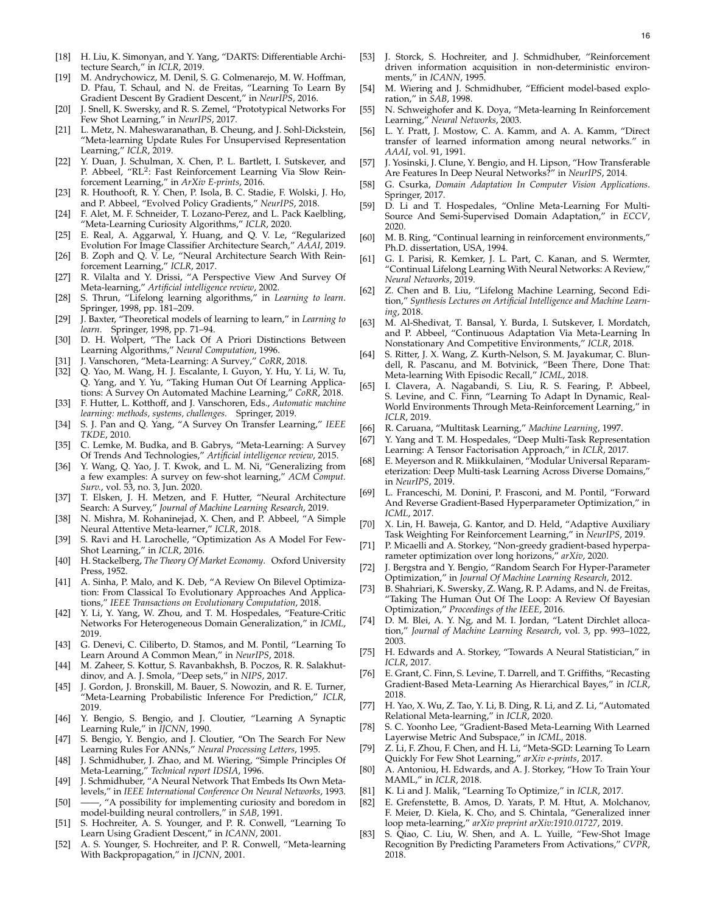- <span id="page-15-6"></span>[18] H. Liu, K. Simonyan, and Y. Yang, "DARTS: Differentiable Architecture Search," in *ICLR*, 2019.
- <span id="page-15-0"></span>[19] M. Andrychowicz, M. Denil, S. G. Colmenarejo, M. W. Hoffman, D. Pfau, T. Schaul, and N. de Freitas, "Learning To Learn By Gradient Descent By Gradient Descent," in *NeurIPS*, 2016.
- <span id="page-15-1"></span>[20] J. Snell, K. Swersky, and R. S. Zemel, "Prototypical Networks For Few Shot Learning," in *NeurIPS*, 2017.
- <span id="page-15-2"></span>[21] L. Metz, N. Maheswaranathan, B. Cheung, and J. Sohl-Dickstein, "Meta-learning Update Rules For Unsupervised Representation Learning," *ICLR*, 2019.
- <span id="page-15-3"></span>[22] Y. Duan, J. Schulman, X. Chen, P. L. Bartlett, I. Sutskever, and P. Abbeel, "RL<sup>2</sup>: Fast Reinforcement Learning Via Slow Reinforcement Learning," in *ArXiv E-prints*, 2016.
- <span id="page-15-4"></span>[23] R. Houthooft, R. Y. Chen, P. Isola, B. C. Stadie, F. Wolski, J. Ho, and P. Abbeel, "Evolved Policy Gradients," *NeurIPS*, 2018.
- <span id="page-15-5"></span>[24] F. Alet, M. F. Schneider, T. Lozano-Perez, and L. Pack Kaelbling, "Meta-Learning Curiosity Algorithms," *ICLR*, 2020.
- <span id="page-15-7"></span>[25] E. Real, A. Aggarwal, Y. Huang, and Q. V. Le, "Regularized Evolution For Image Classifier Architecture Search," *AAAI*, 2019.
- <span id="page-15-8"></span>[26] B. Zoph and Q. V. Le, "Neural Architecture Search With Reinforcement Learning," *ICLR*, 2017.
- <span id="page-15-9"></span>[27] R. Vilalta and Y. Drissi, "A Perspective View And Survey Of Meta-learning," *Artificial intelligence review*, 2002.
- <span id="page-15-15"></span>[28] S. Thrun, "Lifelong learning algorithms," in *Learning to learn*. Springer, 1998, pp. 181–209.
- <span id="page-15-10"></span>[29] J. Baxter, "Theoretical models of learning to learn," in *Learning to learn*. Springer, 1998, pp. 71–94.
- <span id="page-15-11"></span>[30] D. H. Wolpert, "The Lack Of A Priori Distinctions Between Learning Algorithms," *Neural Computation*, 1996.
- <span id="page-15-12"></span>[31] J. Vanschoren, "Meta-Learning: A Survey," *CoRR*, 2018.
- <span id="page-15-13"></span>[32] Q. Yao, M. Wang, H. J. Escalante, I. Guyon, Y. Hu, Y. Li, W. Tu, Q. Yang, and Y. Yu, "Taking Human Out Of Learning Applications: A Survey On Automated Machine Learning," *CoRR*, 2018.
- <span id="page-15-14"></span>[33] F. Hutter, L. Kotthoff, and J. Vanschoren, Eds., *Automatic machine learning: methods, systems, challenges*. Springer, 2019.
- <span id="page-15-16"></span>[34] S. J. Pan and Q. Yang, "A Survey On Transfer Learning," *IEEE TKDE*, 2010.
- <span id="page-15-17"></span>[35] C. Lemke, M. Budka, and B. Gabrys, "Meta-Learning: A Survey Of Trends And Technologies," *Artificial intelligence review*, 2015.
- <span id="page-15-18"></span>[36] Y. Wang, Q. Yao, J. T. Kwok, and L. M. Ni, "Generalizing from a few examples: A survey on few-shot learning," *ACM Comput. Surv.*, vol. 53, no. 3, Jun. 2020.
- <span id="page-15-19"></span>[37] T. Elsken, J. H. Metzen, and F. Hutter, "Neural Architecture Search: A Survey," *Journal of Machine Learning Research*, 2019.
- <span id="page-15-20"></span>[38] N. Mishra, M. Rohaninejad, X. Chen, and P. Abbeel, "A Simple Neural Attentive Meta-learner," *ICLR*, 2018.
- <span id="page-15-21"></span>[39] S. Ravi and H. Larochelle, "Optimization As A Model For Few-Shot Learning," in *ICLR*, 2016.
- <span id="page-15-22"></span>[40] H. Stackelberg, *The Theory Of Market Economy*. Oxford University Press, 1952.
- <span id="page-15-23"></span>[41] A. Sinha, P. Malo, and K. Deb, "A Review On Bilevel Optimization: From Classical To Evolutionary Approaches And Applications," *IEEE Transactions on Evolutionary Computation*, 2018.
- <span id="page-15-24"></span>Y. Li, Y. Yang, W. Zhou, and T. M. Hospedales, "Feature-Critic Networks For Heterogeneous Domain Generalization," in *ICML*, 2019.
- <span id="page-15-25"></span>[43] G. Denevi, C. Ciliberto, D. Stamos, and M. Pontil, "Learning To Learn Around A Common Mean," in *NeurIPS*, 2018.
- <span id="page-15-26"></span>[44] M. Zaheer, S. Kottur, S. Ravanbakhsh, B. Poczos, R. R. Salakhutdinov, and A. J. Smola, "Deep sets," in *NIPS*, 2017.
- <span id="page-15-27"></span>J. Gordon, J. Bronskill, M. Bauer, S. Nowozin, and R. E. Turner, "Meta-Learning Probabilistic Inference For Prediction," *ICLR*, 2019.
- <span id="page-15-28"></span>[46] Y. Bengio, S. Bengio, and J. Cloutier, "Learning A Synaptic Learning Rule," in *IJCNN*, 1990.
- <span id="page-15-29"></span>[47] S. Bengio, Y. Bengio, and J. Cloutier, "On The Search For New Learning Rules For ANNs," *Neural Processing Letters*, 1995.
- <span id="page-15-30"></span>[48] J. Schmidhuber, J. Zhao, and M. Wiering, "Simple Principles Of Meta-Learning," *Technical report IDSIA*, 1996.
- <span id="page-15-31"></span>[49] J. Schmidhuber, "A Neural Network That Embeds Its Own Metalevels," in *IEEE International Conference On Neural Networks*, 1993.
- <span id="page-15-32"></span>[50] ——, "A possibility for implementing curiosity and boredom in model-building neural controllers," in *SAB*, 1991.
- <span id="page-15-33"></span>[51] S. Hochreiter, A. S. Younger, and P. R. Conwell, "Learning To Learn Using Gradient Descent," in *ICANN*, 2001.
- <span id="page-15-34"></span>[52] A. S. Younger, S. Hochreiter, and P. R. Conwell, "Meta-learning With Backpropagation," in *IJCNN*, 2001.
- <span id="page-15-35"></span>[53] J. Storck, S. Hochreiter, and J. Schmidhuber, "Reinforcement driven information acquisition in non-deterministic environments," in *ICANN*, 1995.
- <span id="page-15-36"></span>[54] M. Wiering and J. Schmidhuber, "Efficient model-based exploration," in *SAB*, 1998.
- <span id="page-15-37"></span>[55] N. Schweighofer and K. Doya, "Meta-learning In Reinforcement Learning," *Neural Networks*, 2003.
- <span id="page-15-38"></span>[56] L. Y. Pratt, J. Mostow, C. A. Kamm, and A. A. Kamm, "Direct transfer of learned information among neural networks." in *AAAI*, vol. 91, 1991.
- <span id="page-15-39"></span>[57] J. Yosinski, J. Clune, Y. Bengio, and H. Lipson, "How Transferable Are Features In Deep Neural Networks?" in *NeurIPS*, 2014.
- <span id="page-15-40"></span>[58] G. Csurka, *Domain Adaptation In Computer Vision Applications*. Springer, 2017.
- <span id="page-15-41"></span>[59] D. Li and T. Hospedales, "Online Meta-Learning For Multi-Source And Semi-Supervised Domain Adaptation," in *ECCV*, 2020.
- <span id="page-15-42"></span>[60] M. B. Ring, "Continual learning in reinforcement environments," Ph.D. dissertation, USA, 1994.
- [61] G. I. Parisi, R. Kemker, J. L. Part, C. Kanan, and S. Wermter, "Continual Lifelong Learning With Neural Networks: A Review," *Neural Networks*, 2019.
- <span id="page-15-43"></span>[62] Z. Chen and B. Liu, "Lifelong Machine Learning, Second Edition," *Synthesis Lectures on Artificial Intelligence and Machine Learning*, 2018.
- <span id="page-15-44"></span>[63] M. Al-Shedivat, T. Bansal, Y. Burda, I. Sutskever, I. Mordatch, and P. Abbeel, "Continuous Adaptation Via Meta-Learning In Nonstationary And Competitive Environments," *ICLR*, 2018.
- <span id="page-15-64"></span>[64] S. Ritter, J. X. Wang, Z. Kurth-Nelson, S. M. Jayakumar, C. Blundell, R. Pascanu, and M. Botvinick, "Been There, Done That: Meta-learning With Episodic Recall," *ICML*, 2018.
- <span id="page-15-45"></span>[65] I. Clavera, A. Nagabandi, S. Liu, R. S. Fearing, P. Abbeel, S. Levine, and C. Finn, "Learning To Adapt In Dynamic, Real-World Environments Through Meta-Reinforcement Learning," in *ICLR*, 2019.
- <span id="page-15-46"></span>[66] R. Caruana, "Multitask Learning," *Machine Learning*, 1997.
- <span id="page-15-63"></span>[67] Y. Yang and T. M. Hospedales, "Deep Multi-Task Representation Learning: A Tensor Factorisation Approach," in *ICLR*, 2017.
- <span id="page-15-47"></span>[68] E. Meyerson and R. Miikkulainen, "Modular Universal Reparameterization: Deep Multi-task Learning Across Diverse Domains," in *NeurIPS*, 2019.
- <span id="page-15-48"></span>[69] L. Franceschi, M. Donini, P. Frasconi, and M. Pontil, "Forward And Reverse Gradient-Based Hyperparameter Optimization," in *ICML*, 2017.
- <span id="page-15-49"></span>[70] X. Lin, H. Baweja, G. Kantor, and D. Held, "Adaptive Auxiliary Task Weighting For Reinforcement Learning," in *NeurIPS*, 2019.
- <span id="page-15-50"></span>[71] P. Micaelli and A. Storkey, "Non-greedy gradient-based hyperparameter optimization over long horizons," *arXiv*, 2020.
- <span id="page-15-51"></span>[72] J. Bergstra and Y. Bengio, "Random Search For Hyper-Parameter Optimization," in *Journal Of Machine Learning Research*, 2012.
- <span id="page-15-52"></span>[73] B. Shahriari, K. Swersky, Z. Wang, R. P. Adams, and N. de Freitas, "Taking The Human Out Of The Loop: A Review Of Bayesian Optimization," *Proceedings of the IEEE*, 2016.
- <span id="page-15-53"></span>[74] D. M. Blei, A. Y. Ng, and M. I. Jordan, "Latent Dirchlet allocation," *Journal of Machine Learning Research*, vol. 3, pp. 993–1022, 2003.
- <span id="page-15-54"></span>[75] H. Edwards and A. Storkey, "Towards A Neural Statistician," in *ICLR*, 2017.
- <span id="page-15-55"></span>[76] E. Grant, C. Finn, S. Levine, T. Darrell, and T. Griffiths, "Recasting Gradient-Based Meta-Learning As Hierarchical Bayes," in *ICLR*, 2018.
- <span id="page-15-56"></span>[77] H. Yao, X. Wu, Z. Tao, Y. Li, B. Ding, R. Li, and Z. Li, "Automated Relational Meta-learning," in *ICLR*, 2020.
- <span id="page-15-57"></span>[78] S. C. Yoonho Lee, "Gradient-Based Meta-Learning With Learned Layerwise Metric And Subspace," in *ICML*, 2018.
- <span id="page-15-58"></span>[79] Z. Li, F. Zhou, F. Chen, and H. Li, "Meta-SGD: Learning To Learn Quickly For Few Shot Learning," *arXiv e-prints*, 2017.
- <span id="page-15-59"></span>[80] A. Antoniou, H. Edwards, and A. J. Storkey, "How To Train Your MAML," in *ICLR*, 2018.
- <span id="page-15-60"></span>[81] K. Li and J. Malik, "Learning To Optimize," in *ICLR*, 2017.
- <span id="page-15-61"></span>[82] E. Grefenstette, B. Amos, D. Yarats, P. M. Htut, A. Molchanov, F. Meier, D. Kiela, K. Cho, and S. Chintala, "Generalized inner loop meta-learning," *arXiv preprint arXiv:1910.01727*, 2019.
- <span id="page-15-62"></span>[83] S. Qiao, C. Liu, W. Shen, and A. L. Yuille, "Few-Shot Image Recognition By Predicting Parameters From Activations," *CVPR*, 2018.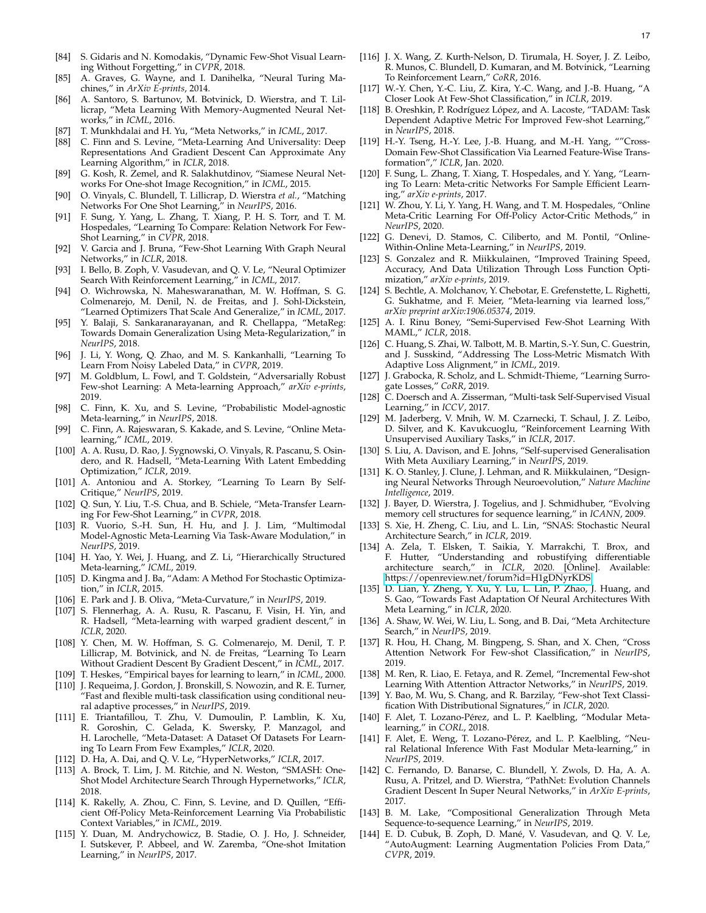- <span id="page-16-0"></span>[84] S. Gidaris and N. Komodakis, "Dynamic Few-Shot Visual Learning Without Forgetting," in *CVPR*, 2018.
- <span id="page-16-1"></span>[85] A. Graves, G. Wayne, and I. Danihelka, "Neural Turing Machines," in *ArXiv E-prints*, 2014.
- <span id="page-16-2"></span>[86] A. Santoro, S. Bartunov, M. Botvinick, D. Wierstra, and T. Lillicrap, "Meta Learning With Memory-Augmented Neural Networks," in *ICML*, 2016.
- <span id="page-16-3"></span>[87] T. Munkhdalai and H. Yu, "Meta Networks," in *ICML*, 2017.
- <span id="page-16-4"></span>[88] C. Finn and S. Levine, "Meta-Learning And Universality: Deep Representations And Gradient Descent Can Approximate Any Learning Algorithm," in *ICLR*, 2018.
- <span id="page-16-5"></span>[89] G. Kosh, R. Zemel, and R. Salakhutdinov, "Siamese Neural Networks For One-shot Image Recognition," in *ICML*, 2015.
- <span id="page-16-6"></span>[90] O. Vinyals, C. Blundell, T. Lillicrap, D. Wierstra *et al.*, "Matching Networks For One Shot Learning," in *NeurIPS*, 2016.
- <span id="page-16-7"></span>[91] F. Sung, Y. Yang, L. Zhang, T. Xiang, P. H. S. Torr, and T. M. Hospedales, "Learning To Compare: Relation Network For Few-Shot Learning," in *CVPR*, 2018.
- <span id="page-16-8"></span>[92] V. Garcia and J. Bruna, "Few-Shot Learning With Graph Neural Networks," in *ICLR*, 2018.
- <span id="page-16-9"></span>[93] I. Bello, B. Zoph, V. Vasudevan, and Q. V. Le, "Neural Optimizer Search With Reinforcement Learning," in *ICML*, 2017.
- <span id="page-16-10"></span>[94] O. Wichrowska, N. Maheswaranathan, M. W. Hoffman, S. G. Colmenarejo, M. Denil, N. de Freitas, and J. Sohl-Dickstein, "Learned Optimizers That Scale And Generalize," in *ICML*, 2017.
- <span id="page-16-11"></span>[95] Y. Balaji, S. Sankaranarayanan, and R. Chellappa, "MetaReg: Towards Domain Generalization Using Meta-Regularization," in *NeurIPS*, 2018.
- <span id="page-16-12"></span>[96] J. Li, Y. Wong, Q. Zhao, and M. S. Kankanhalli, "Learning To Learn From Noisy Labeled Data," in *CVPR*, 2019.
- <span id="page-16-13"></span>[97] M. Goldblum, L. Fowl, and T. Goldstein, "Adversarially Robust Few-shot Learning: A Meta-learning Approach," *arXiv e-prints*, 2019.
- <span id="page-16-14"></span>[98] C. Finn, K. Xu, and S. Levine, "Probabilistic Model-agnostic Meta-learning," in *NeurIPS*, 2018.
- <span id="page-16-15"></span>[99] C. Finn, A. Rajeswaran, S. Kakade, and S. Levine, "Online Metalearning," *ICML*, 2019.
- <span id="page-16-16"></span>[100] A. A. Rusu, D. Rao, J. Sygnowski, O. Vinyals, R. Pascanu, S. Osindero, and R. Hadsell, "Meta-Learning With Latent Embedding Optimization," *ICLR*, 2019.
- <span id="page-16-17"></span>[101] A. Antoniou and A. Storkey, "Learning To Learn By Self-Critique," *NeurIPS*, 2019.
- <span id="page-16-18"></span>[102] Q. Sun, Y. Liu, T.-S. Chua, and B. Schiele, "Meta-Transfer Learning For Few-Shot Learning," in *CVPR*, 2018.
- <span id="page-16-19"></span>[103] R. Vuorio, S.-H. Sun, H. Hu, and J. J. Lim, "Multimodal Model-Agnostic Meta-Learning Via Task-Aware Modulation," in *NeurIPS*, 2019.
- <span id="page-16-20"></span>[104] H. Yao, Y. Wei, J. Huang, and Z. Li, "Hierarchically Structured Meta-learning," *ICML*, 2019.
- <span id="page-16-21"></span>[105] D. Kingma and J. Ba, "Adam: A Method For Stochastic Optimization," in *ICLR*, 2015.
- <span id="page-16-22"></span>[106] E. Park and J. B. Oliva, "Meta-Curvature," in *NeurIPS*, 2019.
- <span id="page-16-23"></span>[107] S. Flennerhag, A. A. Rusu, R. Pascanu, F. Visin, H. Yin, and R. Hadsell, "Meta-learning with warped gradient descent," in *ICLR*, 2020.
- <span id="page-16-24"></span>[108] Y. Chen, M. W. Hoffman, S. G. Colmenarejo, M. Denil, T. P. Lillicrap, M. Botvinick, and N. de Freitas, "Learning To Learn Without Gradient Descent By Gradient Descent," in *ICML*, 2017.
- <span id="page-16-25"></span>[109] T. Heskes, "Empirical bayes for learning to learn," in *ICML*, 2000.
- <span id="page-16-26"></span>[110] J. Requeima, J. Gordon, J. Bronskill, S. Nowozin, and R. E. Turner, "Fast and flexible multi-task classification using conditional neural adaptive processes," in *NeurIPS*, 2019.
- <span id="page-16-27"></span>[111] E. Triantafillou, T. Zhu, V. Dumoulin, P. Lamblin, K. Xu, R. Goroshin, C. Gelada, K. Swersky, P. Manzagol, and H. Larochelle, "Meta-Dataset: A Dataset Of Datasets For Learning To Learn From Few Examples," *ICLR*, 2020.
- <span id="page-16-28"></span>[112] D. Ha, A. Dai, and Q. V. Le, "HyperNetworks," *ICLR*, 2017.
- <span id="page-16-29"></span>[113] A. Brock, T. Lim, J. M. Ritchie, and N. Weston, "SMASH: One-Shot Model Architecture Search Through Hypernetworks," *ICLR*, 2018.
- <span id="page-16-30"></span>[114] K. Rakelly, A. Zhou, C. Finn, S. Levine, and D. Quillen, "Efficient Off-Policy Meta-Reinforcement Learning Via Probabilistic Context Variables," in *ICML*, 2019.
- <span id="page-16-31"></span>[115] Y. Duan, M. Andrychowicz, B. Stadie, O. J. Ho, J. Schneider, I. Sutskever, P. Abbeel, and W. Zaremba, "One-shot Imitation Learning," in *NeurIPS*, 2017.
- <span id="page-16-32"></span>[116] J. X. Wang, Z. Kurth-Nelson, D. Tirumala, H. Soyer, J. Z. Leibo, R. Munos, C. Blundell, D. Kumaran, and M. Botvinick, "Learning To Reinforcement Learn," *CoRR*, 2016.
- <span id="page-16-33"></span>[117] W.-Y. Chen, Y.-C. Liu, Z. Kira, Y.-C. Wang, and J.-B. Huang, "A Closer Look At Few-Shot Classification," in *ICLR*, 2019.
- <span id="page-16-34"></span>[118] B. Oreshkin, P. Rodríguez López, and A. Lacoste, "TADAM: Task Dependent Adaptive Metric For Improved Few-shot Learning, in *NeurIPS*, 2018.
- <span id="page-16-35"></span>[119] H.-Y. Tseng, H.-Y. Lee, J.-B. Huang, and M.-H. Yang, ""Cross-Domain Few-Shot Classification Via Learned Feature-Wise Transformation"," *ICLR*, Jan. 2020.
- <span id="page-16-36"></span>[120] F. Sung, L. Zhang, T. Xiang, T. Hospedales, and Y. Yang, "Learning To Learn: Meta-critic Networks For Sample Efficient Learning," *arXiv e-prints*, 2017.
- <span id="page-16-37"></span>[121] W. Zhou, Y. Li, Y. Yang, H. Wang, and T. M. Hospedales, "Online Meta-Critic Learning For Off-Policy Actor-Critic Methods," in *NeurIPS*, 2020.
- <span id="page-16-38"></span>[122] G. Denevi, D. Stamos, C. Ciliberto, and M. Pontil, "Online-Within-Online Meta-Learning," in *NeurIPS*, 2019.
- <span id="page-16-60"></span>[123] S. Gonzalez and R. Miikkulainen, "Improved Training Speed, Accuracy, And Data Utilization Through Loss Function Optimization," *arXiv e-prints*, 2019.
- <span id="page-16-39"></span>[124] S. Bechtle, A. Molchanov, Y. Chebotar, E. Grefenstette, L. Righetti, G. Sukhatme, and F. Meier, "Meta-learning via learned loss,' *arXiv preprint arXiv:1906.05374*, 2019.
- <span id="page-16-40"></span>[125] A. I. Rinu Boney, "Semi-Supervised Few-Shot Learning With MAML," *ICLR*, 2018.
- <span id="page-16-41"></span>[126] C. Huang, S. Zhai, W. Talbott, M. B. Martin, S.-Y. Sun, C. Guestrin, and J. Susskind, "Addressing The Loss-Metric Mismatch With Adaptive Loss Alignment," in *ICML*, 2019.
- <span id="page-16-42"></span>[127] J. Grabocka, R. Scholz, and L. Schmidt-Thieme, "Learning Surrogate Losses," *CoRR*, 2019.
- <span id="page-16-43"></span>[128] C. Doersch and A. Zisserman, "Multi-task Self-Supervised Visual Learning," in *ICCV*, 2017.
- <span id="page-16-44"></span>[129] M. Jaderberg, V. Mnih, W. M. Czarnecki, T. Schaul, J. Z. Leibo, D. Silver, and K. Kavukcuoglu, "Reinforcement Learning With Unsupervised Auxiliary Tasks," in *ICLR*, 2017.
- <span id="page-16-45"></span>[130] S. Liu, A. Davison, and E. Johns, "Self-supervised Generalisation With Meta Auxiliary Learning," in *NeurIPS*, 2019.
- <span id="page-16-46"></span>[131] K. O. Stanley, J. Clune, J. Lehman, and R. Miikkulainen, "Designing Neural Networks Through Neuroevolution," *Nature Machine Intelligence*, 2019.
- <span id="page-16-47"></span>[132] J. Bayer, D. Wierstra, J. Togelius, and J. Schmidhuber, "Evolving memory cell structures for sequence learning," in *ICANN*, 2009.
- <span id="page-16-48"></span>[133] S. Xie, H. Zheng, C. Liu, and L. Lin, "SNAS: Stochastic Neural Architecture Search," in *ICLR*, 2019.
- <span id="page-16-49"></span>[134] A. Zela, T. Elsken, T. Saikia, Y. Marrakchi, T. Brox, and F. Hutter, "Understanding and robustifying differentiable architecture search," in *ICLR*, 2020. [Online]. Available: <https://openreview.net/forum?id=H1gDNyrKDS>
- <span id="page-16-50"></span>[135] D. Lian, Y. Zheng, Y. Xu, Y. Lu, L. Lin, P. Zhao, J. Huang, and S. Gao, "Towards Fast Adaptation Of Neural Architectures With Meta Learning," in *ICLR*, 2020.
- <span id="page-16-51"></span>[136] A. Shaw, W. Wei, W. Liu, L. Song, and B. Dai, "Meta Architecture Search," in *NeurIPS*, 2019.
- <span id="page-16-52"></span>[137] R. Hou, H. Chang, M. Bingpeng, S. Shan, and X. Chen, "Cross Attention Network For Few-shot Classification," in *NeurIPS*, 2019.
- <span id="page-16-53"></span>[138] M. Ren, R. Liao, E. Fetaya, and R. Zemel, "Incremental Few-shot Learning With Attention Attractor Networks," in *NeurIPS*, 2019.
- <span id="page-16-54"></span>[139] Y. Bao, M. Wu, S. Chang, and R. Barzilay, "Few-shot Text Classification With Distributional Signatures," in *ICLR*, 2020.
- <span id="page-16-55"></span>[140] F. Alet, T. Lozano-Pérez, and L. P. Kaelbling, "Modular Metalearning," in *CORL*, 2018.
- <span id="page-16-56"></span>[141] F. Alet, E. Weng, T. Lozano-Pérez, and L. P. Kaelbling, "Neural Relational Inference With Fast Modular Meta-learning," in *NeurIPS*, 2019.
- <span id="page-16-57"></span>[142] C. Fernando, D. Banarse, C. Blundell, Y. Zwols, D. Ha, A. A. Rusu, A. Pritzel, and D. Wierstra, "PathNet: Evolution Channels Gradient Descent In Super Neural Networks," in *ArXiv E-prints*, 2017.
- <span id="page-16-58"></span>[143] B. M. Lake, "Compositional Generalization Through Meta Sequence-to-sequence Learning," in *NeurIPS*, 2019.
- <span id="page-16-59"></span>[144] E. D. Cubuk, B. Zoph, D. Mané, V. Vasudevan, and Q. V. Le, "AutoAugment: Learning Augmentation Policies From Data," *CVPR*, 2019.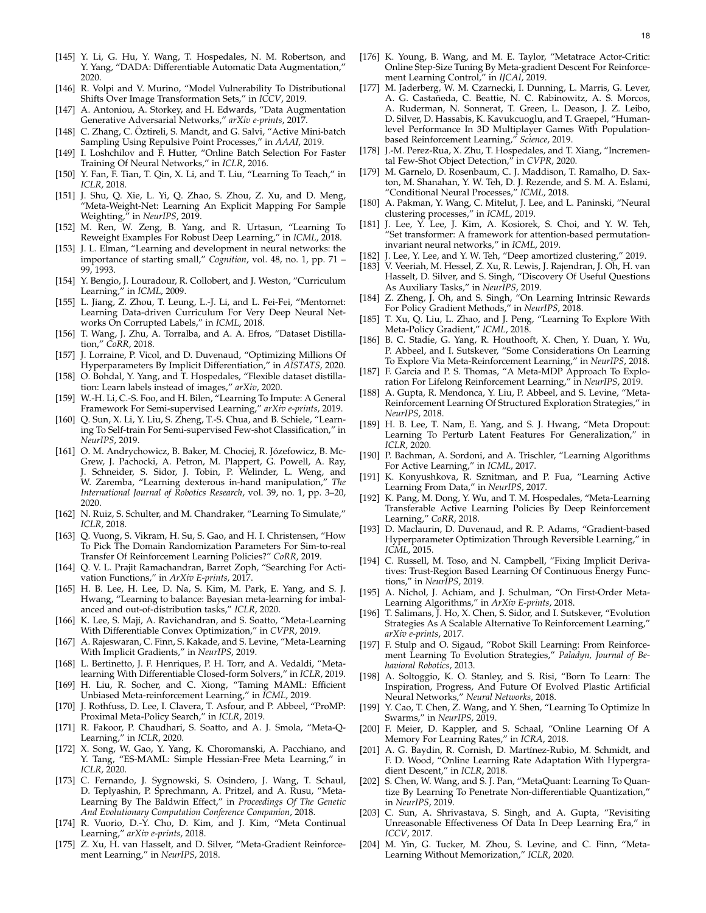- <span id="page-17-0"></span>[145] Y. Li, G. Hu, Y. Wang, T. Hospedales, N. M. Robertson, and Y. Yang, "DADA: Differentiable Automatic Data Augmentation," 2020.
- <span id="page-17-1"></span>[146] R. Volpi and V. Murino, "Model Vulnerability To Distributional Shifts Over Image Transformation Sets," in *ICCV*, 2019.
- <span id="page-17-2"></span>[147] A. Antoniou, A. Storkey, and H. Edwards, "Data Augmentation Generative Adversarial Networks," *arXiv e-prints*, 2017.
- <span id="page-17-3"></span>[148] C. Zhang, C. Öztireli, S. Mandt, and G. Salvi, "Active Mini-batch Sampling Using Repulsive Point Processes," in *AAAI*, 2019.
- <span id="page-17-4"></span>[149] I. Loshchilov and F. Hutter, "Online Batch Selection For Faster Training Of Neural Networks," in *ICLR*, 2016.
- <span id="page-17-5"></span>[150] Y. Fan, F. Tian, T. Qin, X. Li, and T. Liu, "Learning To Teach," in *ICLR*, 2018.
- <span id="page-17-6"></span>[151] J. Shu, Q. Xie, L. Yi, Q. Zhao, S. Zhou, Z. Xu, and D. Meng, "Meta-Weight-Net: Learning An Explicit Mapping For Sample Weighting," in *NeurIPS*, 2019.
- <span id="page-17-7"></span>[152] M. Ren, W. Zeng, B. Yang, and R. Urtasun, "Learning To Reweight Examples For Robust Deep Learning," in *ICML*, 2018.
- <span id="page-17-8"></span>[153] J. L. Elman, "Learning and development in neural networks: the importance of starting small," *Cognition*, vol. 48, no. 1, pp. 71 – 99, 1993.
- <span id="page-17-9"></span>[154] Y. Bengio, J. Louradour, R. Collobert, and J. Weston, "Curriculum Learning," in *ICML*, 2009.
- <span id="page-17-10"></span>[155] L. Jiang, Z. Zhou, T. Leung, L.-J. Li, and L. Fei-Fei, "Mentornet: Learning Data-driven Curriculum For Very Deep Neural Networks On Corrupted Labels," in *ICML*, 2018.
- <span id="page-17-11"></span>[156] T. Wang, J. Zhu, A. Torralba, and A. A. Efros, "Dataset Distillation," *CoRR*, 2018.
- <span id="page-17-12"></span>[157] J. Lorraine, P. Vicol, and D. Duvenaud, "Optimizing Millions Of Hyperparameters By Implicit Differentiation," in *AISTATS*, 2020.
- <span id="page-17-13"></span>[158] O. Bohdal, Y. Yang, and T. Hospedales, "Flexible dataset distillation: Learn labels instead of images," *arXiv*, 2020.
- <span id="page-17-14"></span>[159] W.-H. Li, C.-S. Foo, and H. Bilen, "Learning To Impute: A General Framework For Semi-supervised Learning," *arXiv e-prints*, 2019.
- <span id="page-17-15"></span>[160] Q. Sun, X. Li, Y. Liu, S. Zheng, T.-S. Chua, and B. Schiele, "Learning To Self-train For Semi-supervised Few-shot Classification," in *NeurIPS*, 2019.
- <span id="page-17-16"></span>[161] O. M. Andrychowicz, B. Baker, M. Chociej, R. Józefowicz, B. Mc-Grew, J. Pachocki, A. Petron, M. Plappert, G. Powell, A. Ray, J. Schneider, S. Sidor, J. Tobin, P. Welinder, L. Weng, and W. Zaremba, "Learning dexterous in-hand manipulation," *The International Journal of Robotics Research*, vol. 39, no. 1, pp. 3–20, 2020.
- <span id="page-17-17"></span>[162] N. Ruiz, S. Schulter, and M. Chandraker, "Learning To Simulate," *ICLR*, 2018.
- <span id="page-17-18"></span>[163] Q. Vuong, S. Vikram, H. Su, S. Gao, and H. I. Christensen, "How To Pick The Domain Randomization Parameters For Sim-to-real Transfer Of Reinforcement Learning Policies?" *CoRR*, 2019.
- <span id="page-17-19"></span>[164] Q. V. L. Prajit Ramachandran, Barret Zoph, "Searching For Activation Functions," in *ArXiv E-prints*, 2017.
- <span id="page-17-20"></span>[165] H. B. Lee, H. Lee, D. Na, S. Kim, M. Park, E. Yang, and S. J. Hwang, "Learning to balance: Bayesian meta-learning for imbalanced and out-of-distribution tasks," *ICLR*, 2020.
- <span id="page-17-34"></span>[166] K. Lee, S. Maji, A. Ravichandran, and S. Soatto, "Meta-Learning With Differentiable Convex Optimization," in *CVPR*, 2019.
- <span id="page-17-22"></span>[167] A. Rajeswaran, C. Finn, S. Kakade, and S. Levine, "Meta-Learning With Implicit Gradients," in *NeurIPS*, 2019.
- <span id="page-17-35"></span>[168] L. Bertinetto, J. F. Henriques, P. H. Torr, and A. Vedaldi, "Metalearning With Differentiable Closed-form Solvers," in *ICLR*, 2019.
- <span id="page-17-36"></span>[169] H. Liu, R. Socher, and C. Xiong, "Taming MAML: Efficient Unbiased Meta-reinforcement Learning," in *ICML*, 2019.
- <span id="page-17-56"></span>[170] J. Rothfuss, D. Lee, I. Clavera, T. Asfour, and P. Abbeel, "ProMP: Proximal Meta-Policy Search," in *ICLR*, 2019.
- <span id="page-17-37"></span>[171] R. Fakoor, P. Chaudhari, S. Soatto, and A. J. Smola, "Meta-Q-Learning," in *ICLR*, 2020.
- <span id="page-17-27"></span>[172] X. Song, W. Gao, Y. Yang, K. Choromanski, A. Pacchiano, and Y. Tang, "ES-MAML: Simple Hessian-Free Meta Learning," in *ICLR*, 2020.
- <span id="page-17-38"></span>[173] C. Fernando, J. Sygnowski, S. Osindero, J. Wang, T. Schaul, D. Teplyashin, P. Sprechmann, A. Pritzel, and A. Rusu, "Meta-Learning By The Baldwin Effect," in *Proceedings Of The Genetic And Evolutionary Computation Conference Companion*, 2018.
- <span id="page-17-39"></span>[174] R. Vuorio, D.-Y. Cho, D. Kim, and J. Kim, "Meta Continual Learning," *arXiv e-prints*, 2018.
- <span id="page-17-30"></span>[175] Z. Xu, H. van Hasselt, and D. Silver, "Meta-Gradient Reinforcement Learning," in *NeurIPS*, 2018.
- <span id="page-17-40"></span>[176] K. Young, B. Wang, and M. E. Taylor, "Metatrace Actor-Critic: Online Step-Size Tuning By Meta-gradient Descent For Reinforcement Learning Control," in *IJCAI*, 2019.
- <span id="page-17-41"></span>[177] M. Jaderberg, W. M. Czarnecki, I. Dunning, L. Marris, G. Lever, A. G. Castañeda, C. Beattie, N. C. Rabinowitz, A. S. Morcos, A. Ruderman, N. Sonnerat, T. Green, L. Deason, J. Z. Leibo, D. Silver, D. Hassabis, K. Kavukcuoglu, and T. Graepel, "Humanlevel Performance In 3D Multiplayer Games With Populationbased Reinforcement Learning," *Science*, 2019.
- <span id="page-17-42"></span>[178] J.-M. Perez-Rua, X. Zhu, T. Hospedales, and T. Xiang, "Incremental Few-Shot Object Detection," in *CVPR*, 2020.
- <span id="page-17-43"></span>[179] M. Garnelo, D. Rosenbaum, C. J. Maddison, T. Ramalho, D. Saxton, M. Shanahan, Y. W. Teh, D. J. Rezende, and S. M. A. Eslami, "Conditional Neural Processes," *ICML*, 2018.
- <span id="page-17-44"></span>[180] A. Pakman, Y. Wang, C. Mitelut, J. Lee, and L. Paninski, "Neural clustering processes," in *ICML*, 2019.
- <span id="page-17-59"></span>[181] J. Lee, Y. Lee, J. Kim, A. Kosiorek, S. Choi, and Y. W. Teh, "Set transformer: A framework for attention-based permutationinvariant neural networks," in *ICML*, 2019.
- <span id="page-17-45"></span>[182] J. Lee, Y. Lee, and Y. W. Teh, "Deep amortized clustering," 2019.
- <span id="page-17-31"></span>[183] V. Veeriah, M. Hessel, Z. Xu, R. Lewis, J. Rajendran, J. Oh, H. van Hasselt, D. Silver, and S. Singh, "Discovery Of Useful Questions As Auxiliary Tasks," in *NeurIPS*, 2019.
- <span id="page-17-32"></span>[184] Z. Zheng, J. Oh, and S. Singh, "On Learning Intrinsic Rewards For Policy Gradient Methods," in *NeurIPS*, 2018.
- <span id="page-17-58"></span>[185] T. Xu, Q. Liu, L. Zhao, and J. Peng, "Learning To Explore With Meta-Policy Gradient," *ICML*, 2018.
- <span id="page-17-57"></span>[186] B. C. Stadie, G. Yang, R. Houthooft, X. Chen, Y. Duan, Y. Wu, P. Abbeel, and I. Sutskever, "Some Considerations On Learning To Explore Via Meta-Reinforcement Learning," in *NeurIPS*, 2018.
- <span id="page-17-55"></span>[187] F. Garcia and P. S. Thomas, "A Meta-MDP Approach To Exploration For Lifelong Reinforcement Learning," in *NeurIPS*, 2019.
- <span id="page-17-46"></span>[188] A. Gupta, R. Mendonca, Y. Liu, P. Abbeel, and S. Levine, "Meta-Reinforcement Learning Of Structured Exploration Strategies," in *NeurIPS*, 2018.
- <span id="page-17-47"></span>[189] H. B. Lee, T. Nam, E. Yang, and S. J. Hwang, "Meta Dropout: Learning To Perturb Latent Features For Generalization," in *ICLR*, 2020.
- <span id="page-17-48"></span>[190] P. Bachman, A. Sordoni, and A. Trischler, "Learning Algorithms For Active Learning," in *ICML*, 2017.
- <span id="page-17-49"></span>[191] K. Konyushkova, R. Sznitman, and P. Fua, "Learning Active Learning From Data," in *NeurIPS*, 2017.
- <span id="page-17-50"></span>[192] K. Pang, M. Dong, Y. Wu, and T. M. Hospedales, "Meta-Learning Transferable Active Learning Policies By Deep Reinforcement Learning," *CoRR*, 2018.
- <span id="page-17-21"></span>[193] D. Maclaurin, D. Duvenaud, and R. P. Adams, "Gradient-based Hyperparameter Optimization Through Reversible Learning," in *ICML*, 2015.
- <span id="page-17-23"></span>[194] C. Russell, M. Toso, and N. Campbell, "Fixing Implicit Derivatives: Trust-Region Based Learning Of Continuous Energy Functions," in *NeurIPS*, 2019.
- <span id="page-17-24"></span>[195] A. Nichol, J. Achiam, and J. Schulman, "On First-Order Meta-Learning Algorithms," in *ArXiv E-prints*, 2018.
- <span id="page-17-25"></span>[196] T. Salimans, J. Ho, X. Chen, S. Sidor, and I. Sutskever, "Evolution Strategies As A Scalable Alternative To Reinforcement Learning," *arXiv e-prints*, 2017.
- <span id="page-17-26"></span>[197] F. Stulp and O. Sigaud, "Robot Skill Learning: From Reinforcement Learning To Evolution Strategies," *Paladyn, Journal of Behavioral Robotics*, 2013.
- <span id="page-17-28"></span>[198] A. Soltoggio, K. O. Stanley, and S. Risi, "Born To Learn: The Inspiration, Progress, And Future Of Evolved Plastic Artificial Neural Networks," *Neural Networks*, 2018.
- <span id="page-17-29"></span>[199] Y. Cao, T. Chen, Z. Wang, and Y. Shen, "Learning To Optimize In Swarms," in *NeurIPS*, 2019.
- <span id="page-17-33"></span>[200] F. Meier, D. Kappler, and S. Schaal, "Online Learning Of A Memory For Learning Rates," in *ICRA*, 2018.
- <span id="page-17-51"></span>[201] A. G. Baydin, R. Cornish, D. Martínez-Rubio, M. Schmidt, and F. D. Wood, "Online Learning Rate Adaptation With Hypergradient Descent," in *ICLR*, 2018.
- <span id="page-17-52"></span>[202] S. Chen, W. Wang, and S. J. Pan, "MetaQuant: Learning To Quantize By Learning To Penetrate Non-differentiable Quantization," in *NeurIPS*, 2019.
- <span id="page-17-53"></span>[203] C. Sun, A. Shrivastava, S. Singh, and A. Gupta, "Revisiting Unreasonable Effectiveness Of Data In Deep Learning Era," in *ICCV*, 2017.
- <span id="page-17-54"></span>[204] M. Yin, G. Tucker, M. Zhou, S. Levine, and C. Finn, "Meta-Learning Without Memorization," *ICLR*, 2020.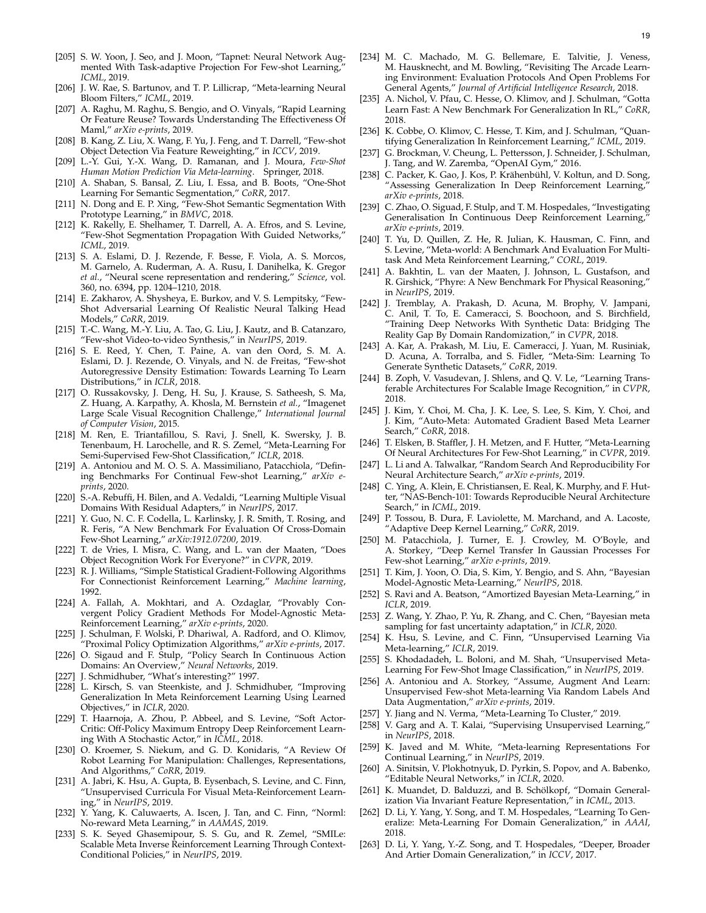- [205] S. W. Yoon, J. Seo, and J. Moon, "Tapnet: Neural Network Augmented With Task-adaptive Projection For Few-shot Learning, *ICML*, 2019.
- [206] J. W. Rae, S. Bartunov, and T. P. Lillicrap, "Meta-learning Neural Bloom Filters," *ICML*, 2019.
- <span id="page-18-0"></span>[207] A. Raghu, M. Raghu, S. Bengio, and O. Vinyals, "Rapid Learning Or Feature Reuse? Towards Understanding The Effectiveness Of Maml," *arXiv e-prints*, 2019.
- <span id="page-18-1"></span>[208] B. Kang, Z. Liu, X. Wang, F. Yu, J. Feng, and T. Darrell, "Few-shot Object Detection Via Feature Reweighting," in *ICCV*, 2019.
- <span id="page-18-2"></span>[209] L.-Y. Gui, Y.-X. Wang, D. Ramanan, and J. Moura, *Few-Shot Human Motion Prediction Via Meta-learning*. Springer, 2018.
- <span id="page-18-3"></span>[210] A. Shaban, S. Bansal, Z. Liu, I. Essa, and B. Boots, "One-Shot Learning For Semantic Segmentation," *CoRR*, 2017.
- <span id="page-18-4"></span>[211] N. Dong and E. P. Xing, "Few-Shot Semantic Segmentation With Prototype Learning," in *BMVC*, 2018.
- <span id="page-18-5"></span>[212] K. Rakelly, E. Shelhamer, T. Darrell, A. A. Efros, and S. Levine, "Few-Shot Segmentation Propagation With Guided Networks," *ICML*, 2019.
- <span id="page-18-6"></span>[213] S. A. Eslami, D. J. Rezende, F. Besse, F. Viola, A. S. Morcos, M. Garnelo, A. Ruderman, A. A. Rusu, I. Danihelka, K. Gregor *et al.*, "Neural scene representation and rendering," *Science*, vol. 360, no. 6394, pp. 1204–1210, 2018.
- <span id="page-18-7"></span>[214] E. Zakharov, A. Shysheya, E. Burkov, and V. S. Lempitsky, "Few-Shot Adversarial Learning Of Realistic Neural Talking Head Models," *CoRR*, 2019.
- <span id="page-18-8"></span>[215] T.-C. Wang, M.-Y. Liu, A. Tao, G. Liu, J. Kautz, and B. Catanzaro, "Few-shot Video-to-video Synthesis," in *NeurIPS*, 2019.
- <span id="page-18-9"></span>[216] S. E. Reed, Y. Chen, T. Paine, A. van den Oord, S. M. A. Eslami, D. J. Rezende, O. Vinyals, and N. de Freitas, "Few-shot Autoregressive Density Estimation: Towards Learning To Learn Distributions," in *ICLR*, 2018.
- <span id="page-18-10"></span>[217] O. Russakovsky, J. Deng, H. Su, J. Krause, S. Satheesh, S. Ma, Z. Huang, A. Karpathy, A. Khosla, M. Bernstein *et al.*, "Imagenet Large Scale Visual Recognition Challenge," *International Journal of Computer Vision*, 2015.
- <span id="page-18-11"></span>[218] M. Ren, E. Triantafillou, S. Ravi, J. Snell, K. Swersky, J. B. Tenenbaum, H. Larochelle, and R. S. Zemel, "Meta-Learning For Semi-Supervised Few-Shot Classification," *ICLR*, 2018.
- <span id="page-18-12"></span>[219] A. Antoniou and M. O. S. A. Massimiliano, Patacchiola, "Defining Benchmarks For Continual Few-shot Learning," *arXiv eprints*, 2020.
- <span id="page-18-13"></span>[220] S.-A. Rebuffi, H. Bilen, and A. Vedaldi, "Learning Multiple Visual Domains With Residual Adapters," in *NeurIPS*, 2017.
- <span id="page-18-14"></span>[221] Y. Guo, N. C. F. Codella, L. Karlinsky, J. R. Smith, T. Rosing, and R. Feris, "A New Benchmark For Evaluation Of Cross-Domain Few-Shot Learning," *arXiv:1912.07200*, 2019.
- <span id="page-18-15"></span>[222] T. de Vries, I. Misra, C. Wang, and L. van der Maaten, "Does Object Recognition Work For Everyone?" in *CVPR*, 2019.
- <span id="page-18-16"></span>[223] R. J. Williams, "Simple Statistical Gradient-Following Algorithms For Connectionist Reinforcement Learning," *Machine learning*, 1992.
- <span id="page-18-17"></span>[224] A. Fallah, A. Mokhtari, and A. Ozdaglar, "Provably Convergent Policy Gradient Methods For Model-Agnostic Meta-Reinforcement Learning," *arXiv e-prints*, 2020.
- <span id="page-18-18"></span>[225] J. Schulman, F. Wolski, P. Dhariwal, A. Radford, and O. Klimov, "Proximal Policy Optimization Algorithms," *arXiv e-prints*, 2017.
- <span id="page-18-19"></span>[226] O. Sigaud and F. Stulp, "Policy Search In Continuous Action Domains: An Overview," *Neural Networks*, 2019.
- <span id="page-18-20"></span>[227] J. Schmidhuber, "What's interesting?" 1997.
- <span id="page-18-21"></span>[228] L. Kirsch, S. van Steenkiste, and J. Schmidhuber, "Improving Generalization In Meta Reinforcement Learning Using Learned Objectives," in *ICLR*, 2020.
- <span id="page-18-22"></span>[229] T. Haarnoja, A. Zhou, P. Abbeel, and S. Levine, "Soft Actor-Critic: Off-Policy Maximum Entropy Deep Reinforcement Learning With A Stochastic Actor," in *ICML*, 2018.
- <span id="page-18-23"></span>[230] O. Kroemer, S. Niekum, and G. D. Konidaris, "A Review Of Robot Learning For Manipulation: Challenges, Representations, And Algorithms," CoRR, 2019.
- <span id="page-18-24"></span>[231] A. Jabri, K. Hsu, A. Gupta, B. Eysenbach, S. Levine, and C. Finn, "Unsupervised Curricula For Visual Meta-Reinforcement Learning," in *NeurIPS*, 2019.
- <span id="page-18-25"></span>[232] Y. Yang, K. Caluwaerts, A. Iscen, J. Tan, and C. Finn, "Norml: No-reward Meta Learning," in *AAMAS*, 2019.
- <span id="page-18-26"></span>[233] S. K. Seyed Ghasemipour, S. S. Gu, and R. Zemel, "SMILe: Scalable Meta Inverse Reinforcement Learning Through Context-Conditional Policies," in *NeurIPS*, 2019.
- <span id="page-18-27"></span>[234] M. C. Machado, M. G. Bellemare, E. Talvitie, J. Veness, M. Hausknecht, and M. Bowling, "Revisiting The Arcade Learning Environment: Evaluation Protocols And Open Problems For General Agents," *Journal of Artificial Intelligence Research*, 2018.
- <span id="page-18-28"></span>[235] A. Nichol, V. Pfau, C. Hesse, O. Klimov, and J. Schulman, "Gotta Learn Fast: A New Benchmark For Generalization In RL," *CoRR*, 2018.
- <span id="page-18-29"></span>[236] K. Cobbe, O. Klimov, C. Hesse, T. Kim, and J. Schulman, "Quantifying Generalization In Reinforcement Learning," *ICML*, 2019.
- <span id="page-18-30"></span>[237] G. Brockman, V. Cheung, L. Pettersson, J. Schneider, J. Schulman, J. Tang, and W. Zaremba, "OpenAI Gym," 2016.
- <span id="page-18-31"></span>[238] C. Packer, K. Gao, J. Kos, P. Krähenbühl, V. Koltun, and D. Song, "Assessing Generalization In Deep Reinforcement Learning, *arXiv e-prints*, 2018.
- <span id="page-18-32"></span>[239] C. Zhao, O. Siguad, F. Stulp, and T. M. Hospedales, "Investigating Generalisation In Continuous Deep Reinforcement Learning, *arXiv e-prints*, 2019.
- <span id="page-18-33"></span>[240] T. Yu, D. Quillen, Z. He, R. Julian, K. Hausman, C. Finn, and S. Levine, "Meta-world: A Benchmark And Evaluation For Multitask And Meta Reinforcement Learning," *CORL*, 2019.
- <span id="page-18-34"></span>[241] A. Bakhtin, L. van der Maaten, J. Johnson, L. Gustafson, and R. Girshick, "Phyre: A New Benchmark For Physical Reasoning," in *NeurIPS*, 2019.
- <span id="page-18-35"></span>[242] J. Tremblay, A. Prakash, D. Acuna, M. Brophy, V. Jampani, C. Anil, T. To, E. Cameracci, S. Boochoon, and S. Birchfield, "Training Deep Networks With Synthetic Data: Bridging The Reality Gap By Domain Randomization," in *CVPR*, 2018.
- <span id="page-18-36"></span>[243] A. Kar, A. Prakash, M. Liu, E. Cameracci, J. Yuan, M. Rusiniak, D. Acuna, A. Torralba, and S. Fidler, "Meta-Sim: Learning To Generate Synthetic Datasets," *CoRR*, 2019.
- <span id="page-18-37"></span>[244] B. Zoph, V. Vasudevan, J. Shlens, and Q. V. Le, "Learning Transferable Architectures For Scalable Image Recognition," in *CVPR*, 2018.
- <span id="page-18-38"></span>[245] J. Kim, Y. Choi, M. Cha, J. K. Lee, S. Lee, S. Kim, Y. Choi, and J. Kim, "Auto-Meta: Automated Gradient Based Meta Learner Search," *CoRR*, 2018.
- <span id="page-18-39"></span>[246] T. Elsken, B. Staffler, J. H. Metzen, and F. Hutter, "Meta-Learning Of Neural Architectures For Few-Shot Learning," in *CVPR*, 2019.
- <span id="page-18-40"></span>[247] L. Li and A. Talwalkar, "Random Search And Reproducibility For Neural Architecture Search," *arXiv e-prints*, 2019.
- <span id="page-18-41"></span>[248] C. Ying, A. Klein, E. Christiansen, E. Real, K. Murphy, and F. Hutter, "NAS-Bench-101: Towards Reproducible Neural Architecture Search," in *ICML*, 2019.
- <span id="page-18-42"></span>[249] P. Tossou, B. Dura, F. Laviolette, M. Marchand, and A. Lacoste, "Adaptive Deep Kernel Learning," *CoRR*, 2019.
- <span id="page-18-43"></span>[250] M. Patacchiola, J. Turner, E. J. Crowley, M. O'Boyle, and A. Storkey, "Deep Kernel Transfer In Gaussian Processes For Few-shot Learning," *arXiv e-prints*, 2019.
- <span id="page-18-44"></span>[251] T. Kim, J. Yoon, O. Dia, S. Kim, Y. Bengio, and S. Ahn, "Bayesian Model-Agnostic Meta-Learning," *NeurIPS*, 2018.
- <span id="page-18-45"></span>[252] S. Ravi and A. Beatson, "Amortized Bayesian Meta-Learning," in *ICLR*, 2019.
- <span id="page-18-46"></span>[253] Z. Wang, Y. Zhao, P. Yu, R. Zhang, and C. Chen, "Bayesian meta sampling for fast uncertainty adaptation," in *ICLR*, 2020.
- <span id="page-18-47"></span>[254] K. Hsu, S. Levine, and C. Finn, "Unsupervised Learning Via Meta-learning," *ICLR*, 2019.
- [255] S. Khodadadeh, L. Boloni, and M. Shah, "Unsupervised Meta-Learning For Few-Shot Image Classification," in *NeurIPS*, 2019.
- <span id="page-18-48"></span>[256] A. Antoniou and A. Storkey, "Assume, Augment And Learn: Unsupervised Few-shot Meta-learning Via Random Labels And Data Augmentation," *arXiv e-prints*, 2019.
- <span id="page-18-49"></span>[257] Y. Jiang and N. Verma, "Meta-Learning To Cluster," 2019.
- <span id="page-18-50"></span>[258] V. Garg and A. T. Kalai, "Supervising Unsupervised Learning," in *NeurIPS*, 2018.
- <span id="page-18-51"></span>[259] K. Javed and M. White, "Meta-learning Representations For Continual Learning," in *NeurIPS*, 2019.
- <span id="page-18-52"></span>[260] A. Sinitsin, V. Plokhotnyuk, D. Pyrkin, S. Popov, and A. Babenko, "Editable Neural Networks," in *ICLR*, 2020.
- <span id="page-18-53"></span>[261] K. Muandet, D. Balduzzi, and B. Schölkopf, "Domain Generalization Via Invariant Feature Representation," in *ICML*, 2013.
- <span id="page-18-54"></span>[262] D. Li, Y. Yang, Y. Song, and T. M. Hospedales, "Learning To Generalize: Meta-Learning For Domain Generalization," in *AAAI*, 2018.
- <span id="page-18-55"></span>[263] D. Li, Y. Yang, Y.-Z. Song, and T. Hospedales, "Deeper, Broader And Artier Domain Generalization," in *ICCV*, 2017.